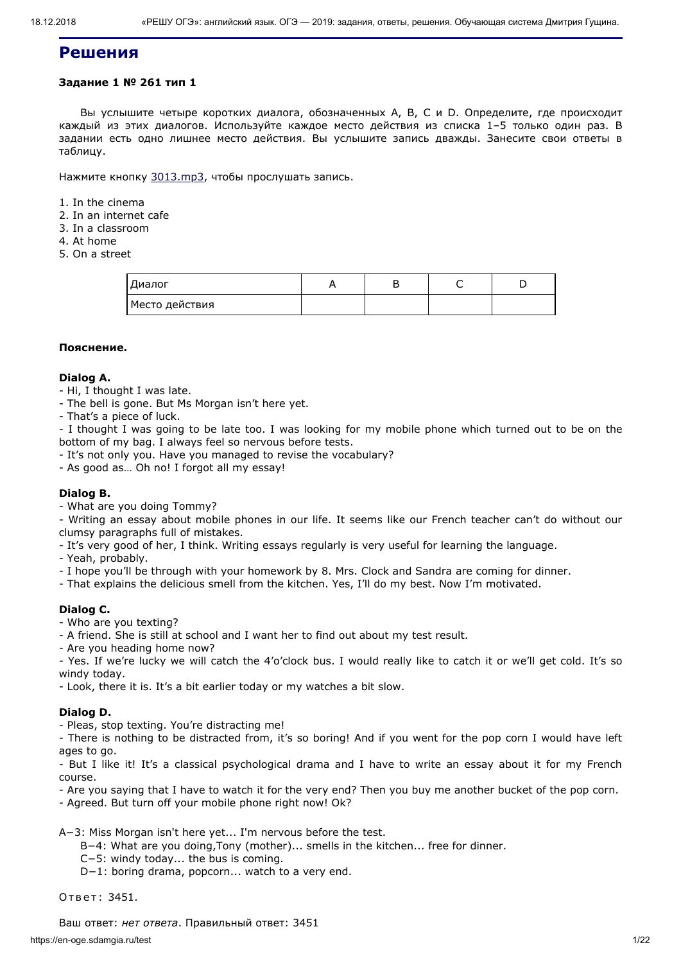# **Решения**

# **Задание 1 № 261 тип 1**

Вы услышите четыре коротких диалога, обозначенных А, B, C и D. Определите, где происходит каждый из этих диалогов. Используйте каждое место действия из списка 1–5 только один раз. В задании есть одно лишнее место действия. Вы услышите запись дважды. Занесите свои ответы в таблицу.

Нажмите кнопку [3013.mp3](https://en-oge.sdamgia.ru/files/3013.mp3), чтобы прослушать запись.

1. In the cinema

- 2. In an internet cafe
- 3. In a classroom
- 4. At home
- 5. On a street

| Диалог         |  |  |
|----------------|--|--|
| Место действия |  |  |

# **Пояснение.**

# **Dialog A.**

- Hi, I thought I was late.
- The bell is gone. But Ms Morgan isn't here yet.
- That's a piece of luck.

- I thought I was going to be late too. I was looking for my mobile phone which turned out to be on the bottom of my bag. I always feel so nervous before tests.

- It's not only you. Have you managed to revise the vocabulary?

- As good as… Oh no! I forgot all my essay!

# **Dialog B.**

- What are you doing Tommy?

- Writing an essay about mobile phones in our life. It seems like our French teacher can't do without our clumsy paragraphs full of mistakes.

- It's very good of her, I think. Writing essays regularly is very useful for learning the language.
- Yeah, probably.
- I hope you'll be through with your homework by 8. Mrs. Clock and Sandra are coming for dinner.
- That explains the delicious smell from the kitchen. Yes, I'll do my best. Now I'm motivated.

# **Dialog C.**

- Who are you texting?
- A friend. She is still at school and I want her to find out about my test result.
- Are you heading home now?

- Yes. If we're lucky we will catch the 4'o'clock bus. I would really like to catch it or we'll get cold. It's so windy today.

- Look, there it is. It's a bit earlier today or my watches a bit slow.

# **Dialog D.**

- Pleas, stop texting. You're distracting me!

- There is nothing to be distracted from, it's so boring! And if you went for the pop corn I would have left ages to go.

- But I like it! It's a classical psychological drama and I have to write an essay about it for my French course.

- Are you saying that I have to watch it for the very end? Then you buy me another bucket of the pop corn.

- Agreed. But turn off your mobile phone right now! Ok?

A−3: Miss Morgan isn't here yet... I'm nervous before the test.

B−4: What are you doing,Tony (mother)... smells in the kitchen... free for dinner.

C−5: windy today... the bus is coming.

D−1: boring drama, popcorn... watch to a very end.

Ответ: 3451.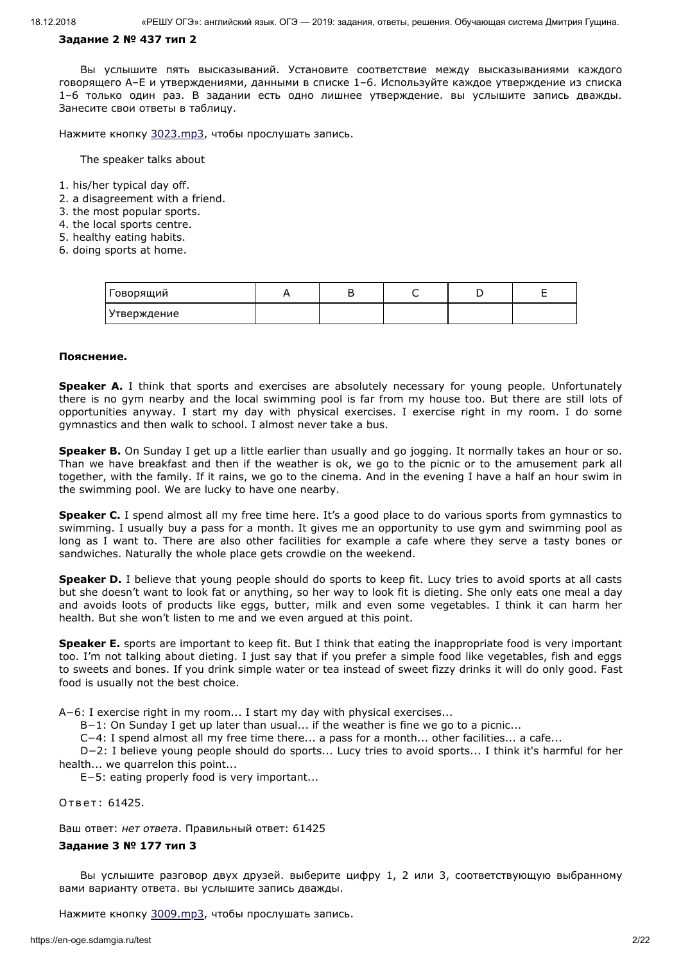#### **Задание 2 № 437 тип 2**

Вы услышите пять высказываний. Установите соответствие между высказываниями каждого говорящего A–E и утверждениями, данными в списке 1–6. Используйте каждое утверждение из списка 1–6 только один раз. В задании есть одно лишнее утверждение. вы услышите запись дважды. Занесите свои ответы в таблицу.

Нажмите кнопку [3023.mp3](https://en-oge.sdamgia.ru/files/3023.mp3), чтобы прослушать запись.

The speaker talks about

- 1. his/her typical day off.
- 2. a disagreement with a friend.
- 3. the most popular sports.
- 4. the local sports centre.
- 5. healthy eating habits.
- 6. doing sports at home.

| Говорящий   |  |  |  |
|-------------|--|--|--|
| Утверждение |  |  |  |

#### **Пояснение.**

**Speaker A.** I think that sports and exercises are absolutely necessary for young people. Unfortunately there is no gym nearby and the local swimming pool is far from my house too. But there are still lots of opportunities anyway. I start my day with physical exercises. I exercise right in my room. I do some gymnastics and then walk to school. I almost never take a bus.

**Speaker B.** On Sunday I get up a little earlier than usually and go jogging. It normally takes an hour or so. Than we have breakfast and then if the weather is ok, we go to the picnic or to the amusement park all together, with the family. If it rains, we go to the cinema. And in the evening I have a half an hour swim in the swimming pool. We are lucky to have one nearby.

**Speaker C.** I spend almost all my free time here. It's a good place to do various sports from gymnastics to swimming. I usually buy a pass for a month. It gives me an opportunity to use gym and swimming pool as long as I want to. There are also other facilities for example a cafe where they serve a tasty bones or sandwiches. Naturally the whole place gets crowdie on the weekend.

**Speaker D.** I believe that young people should do sports to keep fit. Lucy tries to avoid sports at all casts but she doesn't want to look fat or anything, so her way to look fit is dieting. She only eats one meal a day and avoids loots of products like eggs, butter, milk and even some vegetables. I think it can harm her health. But she won't listen to me and we even argued at this point.

**Speaker E.** sports are important to keep fit. But I think that eating the inappropriate food is very important too. I'm not talking about dieting. I just say that if you prefer a simple food like vegetables, fish and eggs to sweets and bones. If you drink simple water or tea instead of sweet fizzy drinks it will do only good. Fast food is usually not the best choice.

A−6: I exercise right in my room... I start my day with physical exercises...

B−1: On Sunday I get up later than usual... if the weather is fine we go to a picnic...

C−4: I spend almost all my free time there... a pass for a month... other facilities... a cafe...

D−2: I believe young people should do sports... Lucy tries to avoid sports... I think it's harmful for her health... we quarrelon this point...

E−5: eating properly food is very important...

Ответ: 61425.

Ваш ответ: *нет ответа*. Правильный ответ: 61425

# **Задание 3 № 177 тип 3**

Вы услышите разговор двух друзей. выберите цифру 1, 2 или 3, соответствующую выбранному вами варианту ответа. вы услышите запись дважды.

Нажмите кнопку [3009.mp3](https://en-oge.sdamgia.ru/files/3009.mp3), чтобы прослушать запись.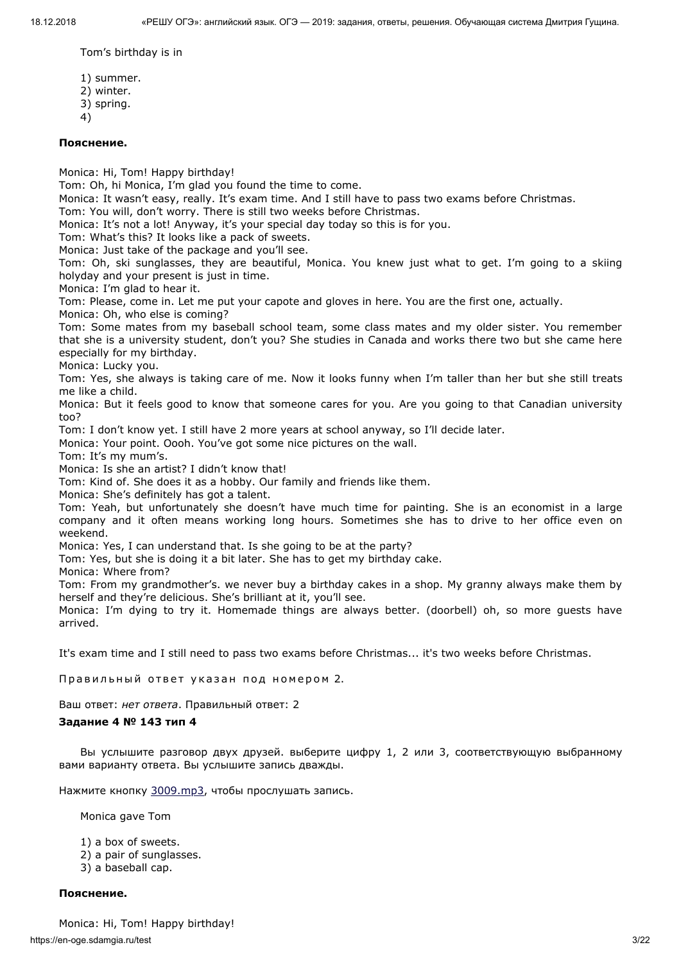Tom's birthday is in

- 1) summer. 2) winter. 3) spring.
- 4)

# **Пояснение.**

Monica: Hi, Tom! Happy birthday!

Tom: Oh, hi Monica, I'm glad you found the time to come.

Monica: It wasn't easy, really. It's exam time. And I still have to pass two exams before Christmas.

Tom: You will, don't worry. There is still two weeks before Christmas.

Monica: It's not a lot! Anyway, it's your special day today so this is for you.

Tom: What's this? It looks like a pack of sweets.

Monica: Just take of the package and you'll see.

Tom: Oh, ski sunglasses, they are beautiful, Monica. You knew just what to get. I'm going to a skiing holyday and your present is just in time.

Monica: I'm glad to hear it.

Tom: Please, come in. Let me put your capote and gloves in here. You are the first one, actually.

Monica: Oh, who else is coming?

Tom: Some mates from my baseball school team, some class mates and my older sister. You remember that she is a university student, don't you? She studies in Canada and works there two but she came here especially for my birthday.

Monica: Lucky you.

Tom: Yes, she always is taking care of me. Now it looks funny when I'm taller than her but she still treats me like a child.

Monica: But it feels good to know that someone cares for you. Are you going to that Canadian university too?

Tom: I don't know yet. I still have 2 more years at school anyway, so I'll decide later.

Monica: Your point. Oooh. You've got some nice pictures on the wall.

Tom: It's my mum's.

Monica: Is she an artist? I didn't know that!

Tom: Kind of. She does it as a hobby. Our family and friends like them.

Monica: She's definitely has got a talent.

Tom: Yeah, but unfortunately she doesn't have much time for painting. She is an economist in a large company and it often means working long hours. Sometimes she has to drive to her office even on weekend.

Monica: Yes, I can understand that. Is she going to be at the party?

Tom: Yes, but she is doing it a bit later. She has to get my birthday cake.

Monica: Where from?

Tom: From my grandmother's. we never buy a birthday cakes in a shop. My granny always make them by herself and they're delicious. She's brilliant at it, you'll see.

Monica: I'm dying to try it. Homemade things are always better. (doorbell) oh, so more guests have arrived.

It's exam time and I still need to pass two exams before Christmas... it's two weeks before Christmas.

Правильный ответ указан под номером 2.

Ваш ответ: *нет ответа*. Правильный ответ: 2

# **Задание 4 № 143 тип 4**

Вы услышите разговор двух друзей. выберите цифру 1, 2 или 3, соответствующую выбранному вами варианту ответа. Вы услышите запись дважды.

Нажмите кнопку [3009.mp3](https://en-oge.sdamgia.ru/files/3009.mp3), чтобы прослушать запись.

Monica gave Tom

- 1) a box of sweets.
- 2) a pair of sunglasses.
- 3) a baseball cap.

# **Пояснение.**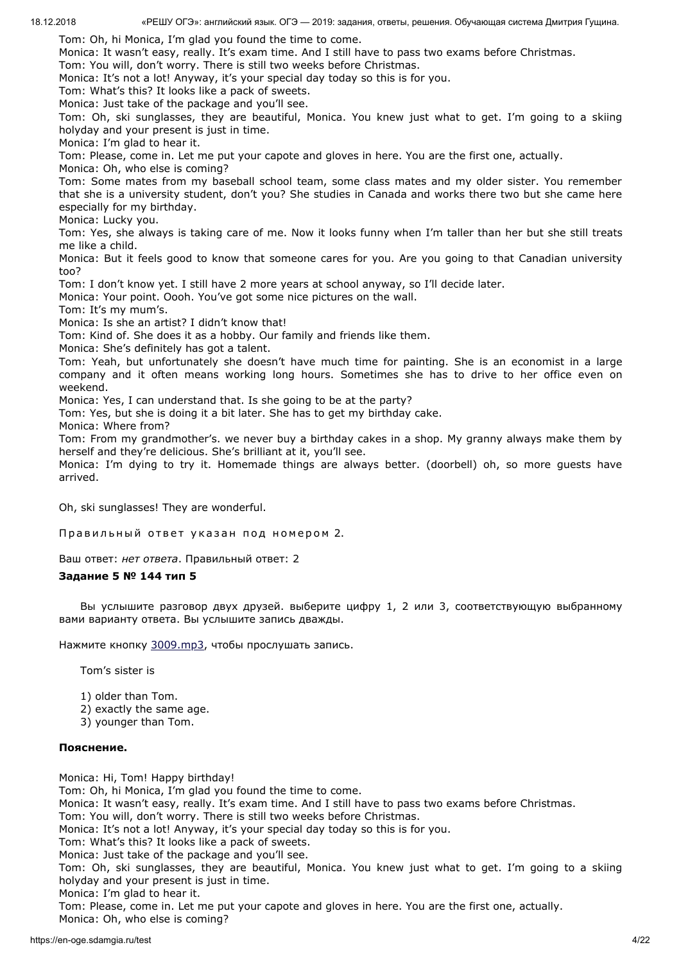Tom: Oh, hi Monica, I'm glad you found the time to come.

Monica: It wasn't easy, really. It's exam time. And I still have to pass two exams before Christmas.

Tom: You will, don't worry. There is still two weeks before Christmas.

Monica: It's not a lot! Anyway, it's your special day today so this is for you.

Tom: What's this? It looks like a pack of sweets.

Monica: Just take of the package and you'll see.

Tom: Oh, ski sunglasses, they are beautiful, Monica. You knew just what to get. I'm going to a skiing holyday and your present is just in time.

Monica: I'm glad to hear it.

Tom: Please, come in. Let me put your capote and gloves in here. You are the first one, actually.

Monica: Oh, who else is coming?

Tom: Some mates from my baseball school team, some class mates and my older sister. You remember that she is a university student, don't you? She studies in Canada and works there two but she came here especially for my birthday.

Monica: Lucky you.

Tom: Yes, she always is taking care of me. Now it looks funny when I'm taller than her but she still treats me like a child.

Monica: But it feels good to know that someone cares for you. Are you going to that Canadian university too?

Tom: I don't know yet. I still have 2 more years at school anyway, so I'll decide later.

Monica: Your point. Oooh. You've got some nice pictures on the wall.

Tom: It's my mum's.

Monica: Is she an artist? I didn't know that!

Tom: Kind of. She does it as a hobby. Our family and friends like them.

Monica: She's definitely has got a talent.

Tom: Yeah, but unfortunately she doesn't have much time for painting. She is an economist in a large company and it often means working long hours. Sometimes she has to drive to her office even on weekend.

Monica: Yes, I can understand that. Is she going to be at the party?

Tom: Yes, but she is doing it a bit later. She has to get my birthday cake.

Monica: Where from?

Tom: From my grandmother's. we never buy a birthday cakes in a shop. My granny always make them by herself and they're delicious. She's brilliant at it, you'll see.

Monica: I'm dying to try it. Homemade things are always better. (doorbell) oh, so more guests have arrived.

Oh, ski sunglasses! They are wonderful.

Правильный ответ указан под номером 2.

Ваш ответ: *нет ответа*. Правильный ответ: 2

## **Задание 5 № 144 тип 5**

Вы услышите разговор двух друзей. выберите цифру 1, 2 или 3, соответствующую выбранному вами варианту ответа. Вы услышите запись дважды.

Нажмите кнопку [3009.mp3](https://en-oge.sdamgia.ru/files/3009.mp3), чтобы прослушать запись.

Tom's sister is

1) older than Tom.

2) exactly the same age.

3) younger than Tom.

## **Пояснение.**

Monica: Hi, Tom! Happy birthday! Tom: Oh, hi Monica, I'm glad you found the time to come. Monica: It wasn't easy, really. It's exam time. And I still have to pass two exams before Christmas.

Tom: You will, don't worry. There is still two weeks before Christmas.

Monica: It's not a lot! Anyway, it's your special day today so this is for you.

Tom: What's this? It looks like a pack of sweets.

Monica: Just take of the package and you'll see.

Tom: Oh, ski sunglasses, they are beautiful, Monica. You knew just what to get. I'm going to a skiing holyday and your present is just in time.

Monica: I'm glad to hear it.

Tom: Please, come in. Let me put your capote and gloves in here. You are the first one, actually. Monica: Oh, who else is coming?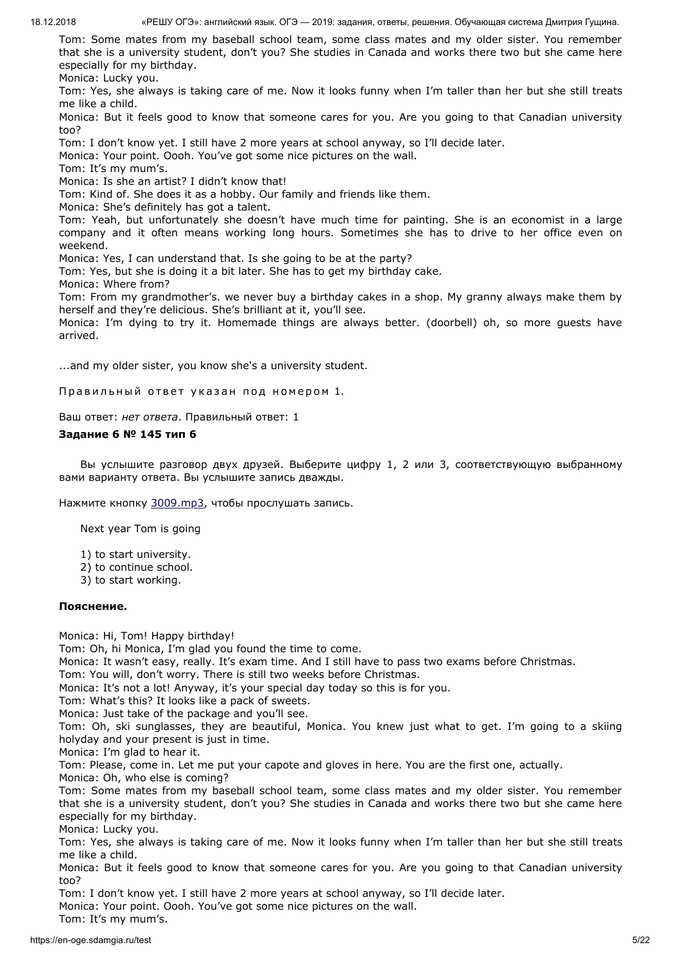Tom: Some mates from my baseball school team, some class mates and my older sister. You remember that she is a university student, don't you? She studies in Canada and works there two but she came here especially for my birthday.

Monica: Lucky you.

Tom: Yes, she always is taking care of me. Now it looks funny when I'm taller than her but she still treats me like a child.

Monica: But it feels good to know that someone cares for you. Are you going to that Canadian university too?

Tom: I don't know yet. I still have 2 more years at school anyway, so I'll decide later.

Monica: Your point. Oooh. You've got some nice pictures on the wall.

Tom: It's my mum's.

Monica: Is she an artist? I didn't know that!

Tom: Kind of. She does it as a hobby. Our family and friends like them.

Monica: She's definitely has got a talent.

Tom: Yeah, but unfortunately she doesn't have much time for painting. She is an economist in a large company and it often means working long hours. Sometimes she has to drive to her office even on weekend.

Monica: Yes, I can understand that. Is she going to be at the party?

Tom: Yes, but she is doing it a bit later. She has to get my birthday cake.

Monica: Where from?

Tom: From my grandmother's. we never buy a birthday cakes in a shop. My granny always make them by herself and they're delicious. She's brilliant at it, you'll see.

Monica: I'm dying to try it. Homemade things are always better. (doorbell) oh, so more guests have arrived.

...and my older sister, you know she's a university student.

Правильный ответ указан под номером 1.

Ваш ответ: *нет ответа*. Правильный ответ: 1

# **Задание 6 № 145 тип 6**

Вы услышите разговор двух друзей. Выберите цифру 1, 2 или 3, соответствующую выбранному вами варианту ответа. Вы услышите запись дважды.

Нажмите кнопку [3009.mp3](https://en-oge.sdamgia.ru/files/3009.mp3), чтобы прослушать запись.

Next year Tom is going

- 1) to start university.
- 2) to continue school.
- 3) to start working.

# **Пояснение.**

Monica: Hi, Tom! Happy birthday!

Tom: Oh, hi Monica, I'm glad you found the time to come.

Monica: It wasn't easy, really. It's exam time. And I still have to pass two exams before Christmas.

Tom: You will, don't worry. There is still two weeks before Christmas.

Monica: It's not a lot! Anyway, it's your special day today so this is for you.

Tom: What's this? It looks like a pack of sweets.

Monica: Just take of the package and you'll see.

Tom: Oh, ski sunglasses, they are beautiful, Monica. You knew just what to get. I'm going to a skiing holyday and your present is just in time.

Monica: I'm glad to hear it.

Tom: Please, come in. Let me put your capote and gloves in here. You are the first one, actually. Monica: Oh, who else is coming?

Tom: Some mates from my baseball school team, some class mates and my older sister. You remember that she is a university student, don't you? She studies in Canada and works there two but she came here especially for my birthday.

Monica: Lucky you.

Tom: Yes, she always is taking care of me. Now it looks funny when I'm taller than her but she still treats me like a child.

Monica: But it feels good to know that someone cares for you. Are you going to that Canadian university too?

Tom: I don't know yet. I still have 2 more years at school anyway, so I'll decide later.

Monica: Your point. Oooh. You've got some nice pictures on the wall.

Tom: It's my mum's.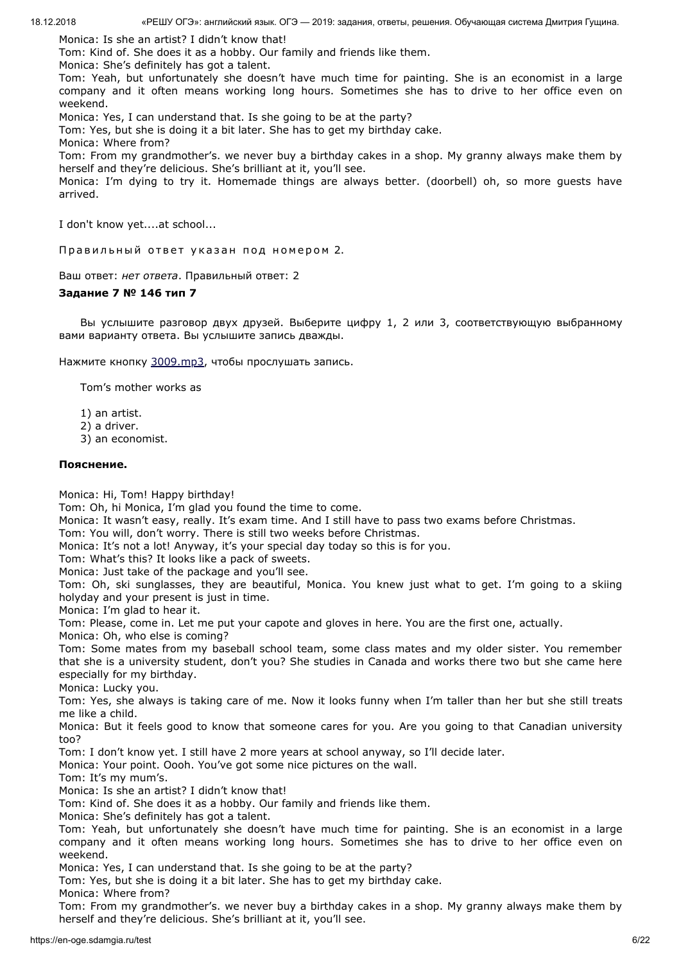Monica: Is she an artist? I didn't know that!

Tom: Kind of. She does it as a hobby. Our family and friends like them.

Monica: She's definitely has got a talent.

Tom: Yeah, but unfortunately she doesn't have much time for painting. She is an economist in a large company and it often means working long hours. Sometimes she has to drive to her office even on weekend.

Monica: Yes, I can understand that. Is she going to be at the party?

Tom: Yes, but she is doing it a bit later. She has to get my birthday cake.

Monica: Where from?

Tom: From my grandmother's. we never buy a birthday cakes in a shop. My granny always make them by herself and they're delicious. She's brilliant at it, you'll see.

Monica: I'm dying to try it. Homemade things are always better. (doorbell) oh, so more guests have arrived.

I don't know yet....at school...

Правильный ответ указан под номером 2.

Ваш ответ: *нет ответа*. Правильный ответ: 2

# **Задание 7 № 146 тип 7**

Вы услышите разговор двух друзей. Выберите цифру 1, 2 или 3, соответствующую выбранному вами варианту ответа. Вы услышите запись дважды.

Нажмите кнопку [3009.mp3](https://en-oge.sdamgia.ru/files/3009.mp3), чтобы прослушать запись.

Tom's mother works as

- 1) an artist.
- 2) a driver.
- 3) an economist.

# **Пояснение.**

Monica: Hi, Tom! Happy birthday!

Tom: Oh, hi Monica, I'm glad you found the time to come.

Monica: It wasn't easy, really. It's exam time. And I still have to pass two exams before Christmas.

Tom: You will, don't worry. There is still two weeks before Christmas.

Monica: It's not a lot! Anyway, it's your special day today so this is for you.

Tom: What's this? It looks like a pack of sweets.

Monica: Just take of the package and you'll see.

Tom: Oh, ski sunglasses, they are beautiful, Monica. You knew just what to get. I'm going to a skiing holyday and your present is just in time.

Monica: I'm glad to hear it.

Tom: Please, come in. Let me put your capote and gloves in here. You are the first one, actually. Monica: Oh, who else is coming?

Tom: Some mates from my baseball school team, some class mates and my older sister. You remember that she is a university student, don't you? She studies in Canada and works there two but she came here

especially for my birthday. Monica: Lucky you.

Tom: Yes, she always is taking care of me. Now it looks funny when I'm taller than her but she still treats me like a child.

Monica: But it feels good to know that someone cares for you. Are you going to that Canadian university too?

Tom: I don't know yet. I still have 2 more years at school anyway, so I'll decide later.

Monica: Your point. Oooh. You've got some nice pictures on the wall.

Tom: It's my mum's.

Monica: Is she an artist? I didn't know that!

Tom: Kind of. She does it as a hobby. Our family and friends like them.

Monica: She's definitely has got a talent.

Tom: Yeah, but unfortunately she doesn't have much time for painting. She is an economist in a large company and it often means working long hours. Sometimes she has to drive to her office even on weekend.

Monica: Yes, I can understand that. Is she going to be at the party?

Tom: Yes, but she is doing it a bit later. She has to get my birthday cake.

Monica: Where from?

Tom: From my grandmother's. we never buy a birthday cakes in a shop. My granny always make them by herself and they're delicious. She's brilliant at it, you'll see.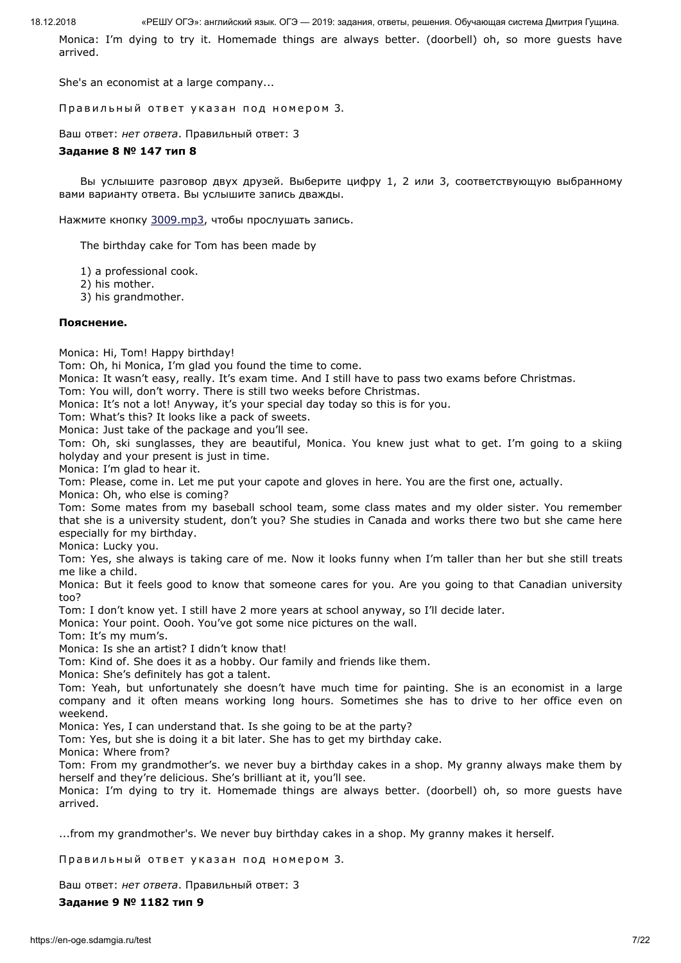Monica: I'm dying to try it. Homemade things are always better. (doorbell) oh, so more guests have arrived.

She's an economist at a large company...

Правильный ответ указан под номером 3.

Ваш ответ: *нет ответа*. Правильный ответ: 3

#### **Задание 8 № 147 тип 8**

Вы услышите разговор двух друзей. Выберите цифру 1, 2 или 3, соответствующую выбранному вами варианту ответа. Вы услышите запись дважды.

Нажмите кнопку [3009.mp3](https://en-oge.sdamgia.ru/files/3009.mp3), чтобы прослушать запись.

The birthday cake for Tom has been made by

1) a professional cook.

2) his mother.

3) his grandmother.

#### **Пояснение.**

Monica: Hi, Tom! Happy birthday!

Tom: Oh, hi Monica, I'm glad you found the time to come.

Monica: It wasn't easy, really. It's exam time. And I still have to pass two exams before Christmas.

Tom: You will, don't worry. There is still two weeks before Christmas.

Monica: It's not a lot! Anyway, it's your special day today so this is for you.

Tom: What's this? It looks like a pack of sweets.

Monica: Just take of the package and you'll see.

Tom: Oh, ski sunglasses, they are beautiful, Monica. You knew just what to get. I'm going to a skiing holyday and your present is just in time.

Monica: I'm glad to hear it.

Tom: Please, come in. Let me put your capote and gloves in here. You are the first one, actually.

Monica: Oh, who else is coming?

Tom: Some mates from my baseball school team, some class mates and my older sister. You remember that she is a university student, don't you? She studies in Canada and works there two but she came here especially for my birthday.

Monica: Lucky you.

Tom: Yes, she always is taking care of me. Now it looks funny when I'm taller than her but she still treats me like a child.

Monica: But it feels good to know that someone cares for you. Are you going to that Canadian university too?

Tom: I don't know yet. I still have 2 more years at school anyway, so I'll decide later.

Monica: Your point. Oooh. You've got some nice pictures on the wall.

Tom: It's my mum's.

Monica: Is she an artist? I didn't know that!

Tom: Kind of. She does it as a hobby. Our family and friends like them.

Monica: She's definitely has got a talent.

Tom: Yeah, but unfortunately she doesn't have much time for painting. She is an economist in a large company and it often means working long hours. Sometimes she has to drive to her office even on weekend.

Monica: Yes, I can understand that. Is she going to be at the party?

Tom: Yes, but she is doing it a bit later. She has to get my birthday cake.

Monica: Where from?

Tom: From my grandmother's. we never buy a birthday cakes in a shop. My granny always make them by herself and they're delicious. She's brilliant at it, you'll see.

Monica: I'm dying to try it. Homemade things are always better. (doorbell) oh, so more guests have arrived.

...from my grandmother's. We never buy birthday cakes in a shop. My granny makes it herself.

Правильный ответ указан под номером 3.

Ваш ответ: *нет ответа*. Правильный ответ: 3

**Задание 9 № 1182 тип 9**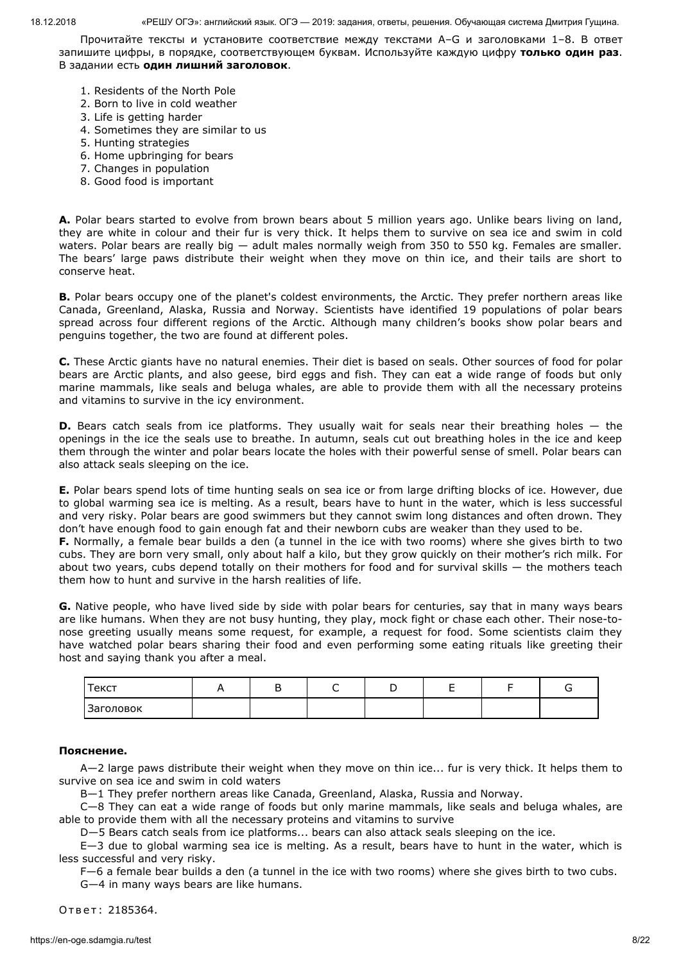Прочитайте тексты и установите соответствие между текстами А–G и заголовками 1–8. В ответ запишите цифры, в порядке, соответствующем буквам. Используйте каждую цифру **только один раз**. В задании есть **один лишний заголовок**.

- 1. Residents of the North Pole
- 2. Born to live in cold weather
- 3. Life is getting harder
- 4. Sometimes they are similar to us
- 5. Hunting strategies
- 6. Home upbringing for bears
- 7. Changes in population
- 8. Good food is important

**A.** Polar bears started to evolve from brown bears about 5 million years ago. Unlike bears living on land, they are white in colour and their fur is very thick. It helps them to survive on sea ice and swim in cold waters. Polar bears are really big - adult males normally weigh from 350 to 550 kg. Females are smaller. The bears' large paws distribute their weight when they move on thin ice, and their tails are short to conserve heat.

**B.** Polar bears occupy one of the planet's coldest environments, the Arctic. They prefer northern areas like Canada, Greenland, Alaska, Russia and Norway. Scientists have identified 19 populations of polar bears spread across four different regions of the Arctic. Although many children's books show polar bears and penguins together, the two are found at different poles.

**C.** These Arctic giants have no natural enemies. Their diet is based on seals. Other sources of food for polar bears are Arctic plants, and also geese, bird eggs and fish. They can eat a wide range of foods but only marine mammals, like seals and beluga whales, are able to provide them with all the necessary proteins and vitamins to survive in the icy environment.

**D.** Bears catch seals from ice platforms. They usually wait for seals near their breathing holes – the openings in the ice the seals use to breathe. In autumn, seals cut out breathing holes in the ice and keep them through the winter and polar bears locate the holes with their powerful sense of smell. Polar bears can also attack seals sleeping on the ice.

**E.** Polar bears spend lots of time hunting seals on sea ice or from large drifting blocks of ice. However, due to global warming sea ice is melting. As a result, bears have to hunt in the water, which is less successful and very risky. Polar bears are good swimmers but they cannot swim long distances and often drown. They don't have enough food to gain enough fat and their newborn cubs are weaker than they used to be.

**F.** Normally, a female bear builds a den (a tunnel in the ice with two rooms) where she gives birth to two cubs. They are born very small, only about half a kilo, but they grow quickly on their mother's rich milk. For about two years, cubs depend totally on their mothers for food and for survival skills — the mothers teach them how to hunt and survive in the harsh realities of life.

**G.** Native people, who have lived side by side with polar bears for centuries, say that in many ways bears are like humans. When they are not busy hunting, they play, mock fight or chase each other. Their nose-tonose greeting usually means some request, for example, a request for food. Some scientists claim they have watched polar bears sharing their food and even performing some eating rituals like greeting their host and saying thank you after a meal.

| Текст     | - |  |  |  |
|-----------|---|--|--|--|
| Заголовок |   |  |  |  |

# **Пояснение.**

A—2 large paws distribute their weight when they move on thin ice... fur is very thick. It helps them to survive on sea ice and swim in cold waters

B—1 They prefer northern areas like Canada, Greenland, Alaska, Russia and Norway.

C—8 They can eat a wide range of foods but only marine mammals, like seals and beluga whales, are able to provide them with all the necessary proteins and vitamins to survive

D—5 Bears catch seals from ice platforms... bears can also attack seals sleeping on the ice.

E—3 due to global warming sea ice is melting. As a result, bears have to hunt in the water, which is less successful and very risky.

F—6 a female bear builds a den (a tunnel in the ice with two rooms) where she gives birth to two cubs.

G—4 in many ways bears are like humans.

Ответ: 2185364.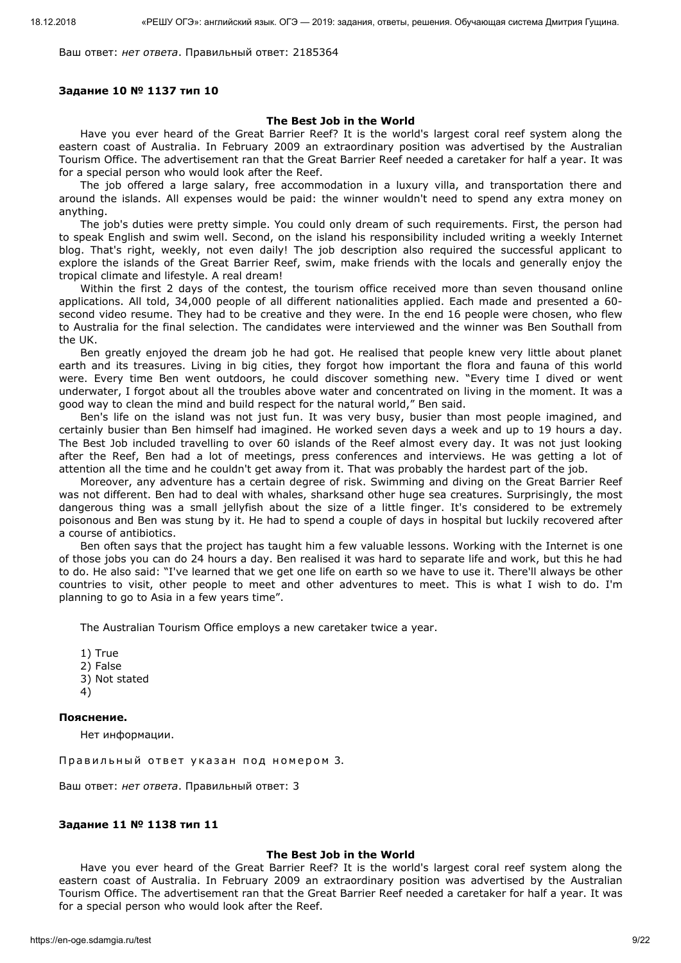Ваш ответ: *нет ответа*. Правильный ответ: 2185364

#### **Задание 10 № 1137 тип 10**

# **The Best Job in the World**

Have you ever heard of the Great Barrier Reef? It is the world's largest coral reef system along the eastern coast of Australia. In February 2009 an extraordinary position was advertised by the Australian Tourism Office. The advertisement ran that the Great Barrier Reef needed a caretaker for half a year. It was for a special person who would look after the Reef.

The job offered a large salary, free accommodation in a luxury villa, and transportation there and around the islands. All expenses would be paid: the winner wouldn't need to spend any extra money on anything.

The job's duties were pretty simple. You could only dream of such requirements. First, the person had to speak English and swim well. Second, on the island his responsibility included writing a weekly Internet blog. That's right, weekly, not even daily! The job description also required the successful applicant to explore the islands of the Great Barrier Reef, swim, make friends with the locals and generally enjoy the tropical climate and lifestyle. A real dream!

Within the first 2 days of the contest, the tourism office received more than seven thousand online applications. All told, 34,000 people of all different nationalities applied. Each made and presented a 60 second video resume. They had to be creative and they were. In the end 16 people were chosen, who flew to Australia for the final selection. The candidates were interviewed and the winner was Ben Southall from the UK.

Ben greatly enjoyed the dream job he had got. He realised that people knew very little about planet earth and its treasures. Living in big cities, they forgot how important the flora and fauna of this world were. Every time Ben went outdoors, he could discover something new. "Every time I dived or went underwater, I forgot about all the troubles above water and concentrated on living in the moment. It was a good way to clean the mind and build respect for the natural world," Ben said.

Ben's life on the island was not just fun. It was very busy, busier than most people imagined, and certainly busier than Ben himself had imagined. He worked seven days a week and up to 19 hours a day. The Best Job included travelling to over 60 islands of the Reef almost every day. It was not just looking after the Reef, Ben had a lot of meetings, press conferences and interviews. He was getting a lot of attention all the time and he couldn't get away from it. That was probably the hardest part of the job.

Moreover, any adventure has a certain degree of risk. Swimming and diving on the Great Barrier Reef was not different. Ben had to deal with whales, sharksand other huge sea creatures. Surprisingly, the most dangerous thing was a small jellyfish about the size of a little finger. It's considered to be extremely poisonous and Ben was stung by it. He had to spend a couple of days in hospital but luckily recovered after a course of antibiotics.

Ben often says that the project has taught him a few valuable lessons. Working with the Internet is one of those jobs you can do 24 hours a day. Ben realised it was hard to separate life and work, but this he had to do. He also said: "I've learned that we get one life on earth so we have to use it. There'll always be other countries to visit, other people to meet and other adventures to meet. This is what I wish to do. I'm planning to go to Asia in a few years time".

The Australian Tourism Office employs a new caretaker twice a year.

1) True 2) False 3) Not stated 4)

#### **Пояснение.**

Нет информации.

Правильный ответ указан под номером 3.

Ваш ответ: *нет ответа*. Правильный ответ: 3

#### **Задание 11 № 1138 тип 11**

#### **The Best Job in the World**

Have you ever heard of the Great Barrier Reef? It is the world's largest coral reef system along the eastern coast of Australia. In February 2009 an extraordinary position was advertised by the Australian Tourism Office. The advertisement ran that the Great Barrier Reef needed a caretaker for half a year. It was for a special person who would look after the Reef.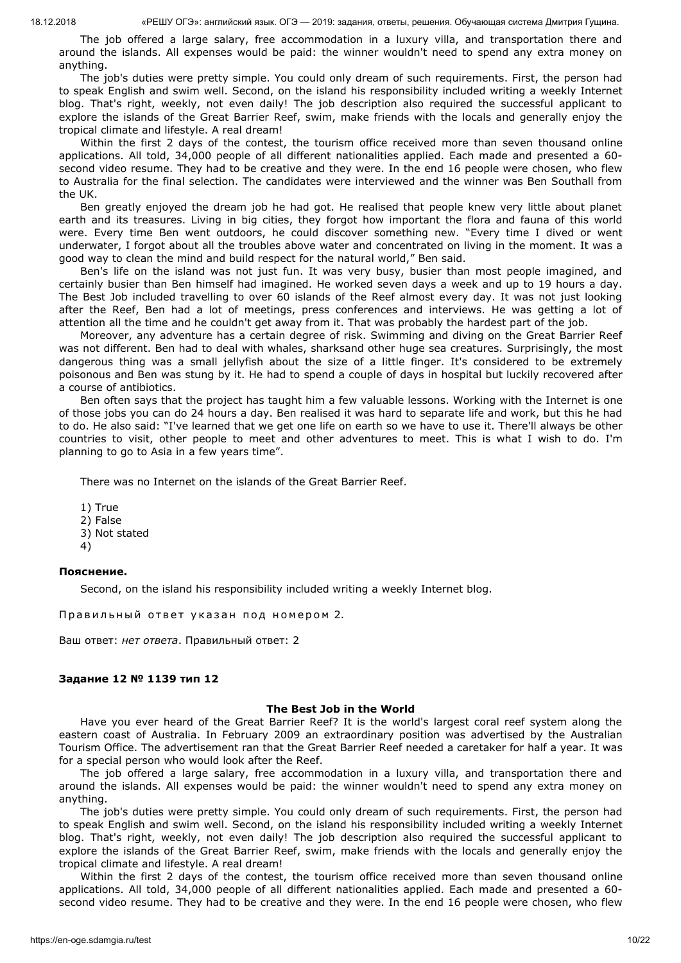The job offered a large salary, free accommodation in a luxury villa, and transportation there and around the islands. All expenses would be paid: the winner wouldn't need to spend any extra money on anything.

The job's duties were pretty simple. You could only dream of such requirements. First, the person had to speak English and swim well. Second, on the island his responsibility included writing a weekly Internet blog. That's right, weekly, not even daily! The job description also required the successful applicant to explore the islands of the Great Barrier Reef, swim, make friends with the locals and generally enjoy the tropical climate and lifestyle. A real dream!

Within the first 2 days of the contest, the tourism office received more than seven thousand online applications. All told, 34,000 people of all different nationalities applied. Each made and presented a 60 second video resume. They had to be creative and they were. In the end 16 people were chosen, who flew to Australia for the final selection. The candidates were interviewed and the winner was Ben Southall from the UK.

Ben greatly enjoyed the dream job he had got. He realised that people knew very little about planet earth and its treasures. Living in big cities, they forgot how important the flora and fauna of this world were. Every time Ben went outdoors, he could discover something new. "Every time I dived or went underwater, I forgot about all the troubles above water and concentrated on living in the moment. It was a good way to clean the mind and build respect for the natural world," Ben said.

Ben's life on the island was not just fun. It was very busy, busier than most people imagined, and certainly busier than Ben himself had imagined. He worked seven days a week and up to 19 hours a day. The Best Job included travelling to over 60 islands of the Reef almost every day. It was not just looking after the Reef, Ben had a lot of meetings, press conferences and interviews. He was getting a lot of attention all the time and he couldn't get away from it. That was probably the hardest part of the job.

Moreover, any adventure has a certain degree of risk. Swimming and diving on the Great Barrier Reef was not different. Ben had to deal with whales, sharksand other huge sea creatures. Surprisingly, the most dangerous thing was a small jellyfish about the size of a little finger. It's considered to be extremely poisonous and Ben was stung by it. He had to spend a couple of days in hospital but luckily recovered after a course of antibiotics.

Ben often says that the project has taught him a few valuable lessons. Working with the Internet is one of those jobs you can do 24 hours a day. Ben realised it was hard to separate life and work, but this he had to do. He also said: "I've learned that we get one life on earth so we have to use it. There'll always be other countries to visit, other people to meet and other adventures to meet. This is what I wish to do. I'm planning to go to Asia in a few years time".

There was no Internet on the islands of the Great Barrier Reef.

1) True 2) False 3) Not stated 4)

### **Пояснение.**

Second, on the island his responsibility included writing a weekly Internet blog.

Правильный ответ указан под номером 2.

Ваш ответ: *нет ответа*. Правильный ответ: 2

### **Задание 12 № 1139 тип 12**

#### **The Best Job in the World**

Have you ever heard of the Great Barrier Reef? It is the world's largest coral reef system along the eastern coast of Australia. In February 2009 an extraordinary position was advertised by the Australian Tourism Office. The advertisement ran that the Great Barrier Reef needed a caretaker for half a year. It was for a special person who would look after the Reef.

The job offered a large salary, free accommodation in a luxury villa, and transportation there and around the islands. All expenses would be paid: the winner wouldn't need to spend any extra money on anything.

The job's duties were pretty simple. You could only dream of such requirements. First, the person had to speak English and swim well. Second, on the island his responsibility included writing a weekly Internet blog. That's right, weekly, not even daily! The job description also required the successful applicant to explore the islands of the Great Barrier Reef, swim, make friends with the locals and generally enjoy the tropical climate and lifestyle. A real dream!

Within the first 2 days of the contest, the tourism office received more than seven thousand online applications. All told, 34,000 people of all different nationalities applied. Each made and presented a 60 second video resume. They had to be creative and they were. In the end 16 people were chosen, who flew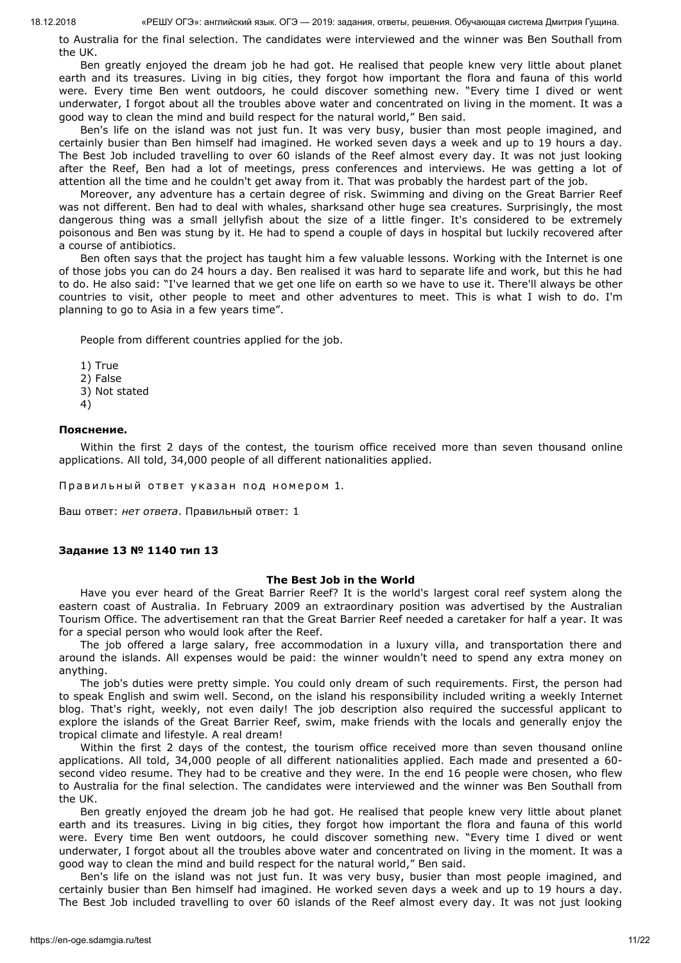to Australia for the final selection. The candidates were interviewed and the winner was Ben Southall from the UK.

Ben greatly enjoyed the dream job he had got. He realised that people knew very little about planet earth and its treasures. Living in big cities, they forgot how important the flora and fauna of this world were. Every time Ben went outdoors, he could discover something new. "Every time I dived or went underwater, I forgot about all the troubles above water and concentrated on living in the moment. It was a good way to clean the mind and build respect for the natural world," Ben said.

Ben's life on the island was not just fun. It was very busy, busier than most people imagined, and certainly busier than Ben himself had imagined. He worked seven days a week and up to 19 hours a day. The Best Job included travelling to over 60 islands of the Reef almost every day. It was not just looking after the Reef, Ben had a lot of meetings, press conferences and interviews. He was getting a lot of attention all the time and he couldn't get away from it. That was probably the hardest part of the job.

Moreover, any adventure has a certain degree of risk. Swimming and diving on the Great Barrier Reef was not different. Ben had to deal with whales, sharksand other huge sea creatures. Surprisingly, the most dangerous thing was a small jellyfish about the size of a little finger. It's considered to be extremely poisonous and Ben was stung by it. He had to spend a couple of days in hospital but luckily recovered after a course of antibiotics.

Ben often says that the project has taught him a few valuable lessons. Working with the Internet is one of those jobs you can do 24 hours a day. Ben realised it was hard to separate life and work, but this he had to do. He also said: "I've learned that we get one life on earth so we have to use it. There'll always be other countries to visit, other people to meet and other adventures to meet. This is what I wish to do. I'm planning to go to Asia in a few years time".

People from different countries applied for the job.

- 1) True
- 2) False
- 3) Not stated
- 4)

### **Пояснение.**

Within the first 2 days of the contest, the tourism office received more than seven thousand online applications. All told, 34,000 people of all different nationalities applied.

Правильный ответ указан под номером 1.

Ваш ответ: *нет ответа*. Правильный ответ: 1

### **Задание 13 № 1140 тип 13**

#### **The Best Job in the World**

Have you ever heard of the Great Barrier Reef? It is the world's largest coral reef system along the eastern coast of Australia. In February 2009 an extraordinary position was advertised by the Australian Tourism Office. The advertisement ran that the Great Barrier Reef needed a caretaker for half a year. It was for a special person who would look after the Reef.

The job offered a large salary, free accommodation in a luxury villa, and transportation there and around the islands. All expenses would be paid: the winner wouldn't need to spend any extra money on anything.

The job's duties were pretty simple. You could only dream of such requirements. First, the person had to speak English and swim well. Second, on the island his responsibility included writing a weekly Internet blog. That's right, weekly, not even daily! The job description also required the successful applicant to explore the islands of the Great Barrier Reef, swim, make friends with the locals and generally enjoy the tropical climate and lifestyle. A real dream!

Within the first 2 days of the contest, the tourism office received more than seven thousand online applications. All told, 34,000 people of all different nationalities applied. Each made and presented a 60 second video resume. They had to be creative and they were. In the end 16 people were chosen, who flew to Australia for the final selection. The candidates were interviewed and the winner was Ben Southall from the UK.

Ben greatly enjoyed the dream job he had got. He realised that people knew very little about planet earth and its treasures. Living in big cities, they forgot how important the flora and fauna of this world were. Every time Ben went outdoors, he could discover something new. "Every time I dived or went underwater, I forgot about all the troubles above water and concentrated on living in the moment. It was a good way to clean the mind and build respect for the natural world," Ben said.

Ben's life on the island was not just fun. It was very busy, busier than most people imagined, and certainly busier than Ben himself had imagined. He worked seven days a week and up to 19 hours a day. The Best Job included travelling to over 60 islands of the Reef almost every day. It was not just looking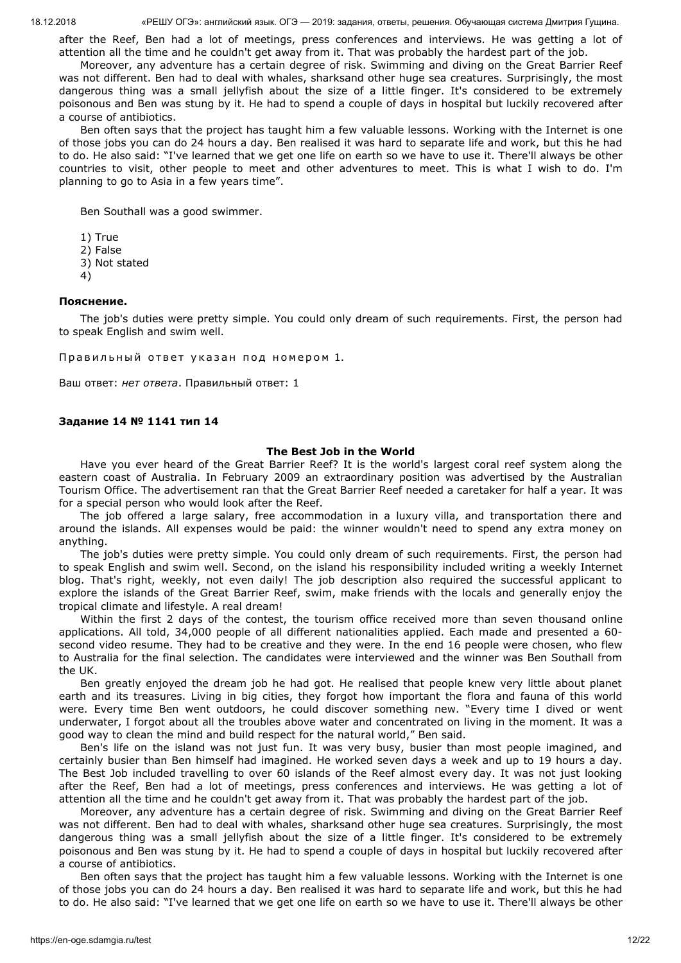after the Reef, Ben had a lot of meetings, press conferences and interviews. He was getting a lot of attention all the time and he couldn't get away from it. That was probably the hardest part of the job.

Moreover, any adventure has a certain degree of risk. Swimming and diving on the Great Barrier Reef was not different. Ben had to deal with whales, sharksand other huge sea creatures. Surprisingly, the most dangerous thing was a small jellyfish about the size of a little finger. It's considered to be extremely poisonous and Ben was stung by it. He had to spend a couple of days in hospital but luckily recovered after a course of antibiotics.

Ben often says that the project has taught him a few valuable lessons. Working with the Internet is one of those jobs you can do 24 hours a day. Ben realised it was hard to separate life and work, but this he had to do. He also said: "I've learned that we get one life on earth so we have to use it. There'll always be other countries to visit, other people to meet and other adventures to meet. This is what I wish to do. I'm planning to go to Asia in a few years time".

Ben Southall was a good swimmer.

1) True

2) False

3) Not stated

4)

### **Пояснение.**

The job's duties were pretty simple. You could only dream of such requirements. First, the person had to speak English and swim well.

Правильный ответ указан под номером 1.

Ваш ответ: *нет ответа*. Правильный ответ: 1

## **Задание 14 № 1141 тип 14**

### **The Best Job in the World**

Have you ever heard of the Great Barrier Reef? It is the world's largest coral reef system along the eastern coast of Australia. In February 2009 an extraordinary position was advertised by the Australian Tourism Office. The advertisement ran that the Great Barrier Reef needed a caretaker for half a year. It was for a special person who would look after the Reef.

The job offered a large salary, free accommodation in a luxury villa, and transportation there and around the islands. All expenses would be paid: the winner wouldn't need to spend any extra money on anything.

The job's duties were pretty simple. You could only dream of such requirements. First, the person had to speak English and swim well. Second, on the island his responsibility included writing a weekly Internet blog. That's right, weekly, not even daily! The job description also required the successful applicant to explore the islands of the Great Barrier Reef, swim, make friends with the locals and generally enjoy the tropical climate and lifestyle. A real dream!

Within the first 2 days of the contest, the tourism office received more than seven thousand online applications. All told, 34,000 people of all different nationalities applied. Each made and presented a 60 second video resume. They had to be creative and they were. In the end 16 people were chosen, who flew to Australia for the final selection. The candidates were interviewed and the winner was Ben Southall from the UK.

Ben greatly enjoyed the dream job he had got. He realised that people knew very little about planet earth and its treasures. Living in big cities, they forgot how important the flora and fauna of this world were. Every time Ben went outdoors, he could discover something new. "Every time I dived or went underwater, I forgot about all the troubles above water and concentrated on living in the moment. It was a good way to clean the mind and build respect for the natural world," Ben said.

Ben's life on the island was not just fun. It was very busy, busier than most people imagined, and certainly busier than Ben himself had imagined. He worked seven days a week and up to 19 hours a day. The Best Job included travelling to over 60 islands of the Reef almost every day. It was not just looking after the Reef, Ben had a lot of meetings, press conferences and interviews. He was getting a lot of attention all the time and he couldn't get away from it. That was probably the hardest part of the job.

Moreover, any adventure has a certain degree of risk. Swimming and diving on the Great Barrier Reef was not different. Ben had to deal with whales, sharksand other huge sea creatures. Surprisingly, the most dangerous thing was a small jellyfish about the size of a little finger. It's considered to be extremely poisonous and Ben was stung by it. He had to spend a couple of days in hospital but luckily recovered after a course of antibiotics.

Ben often says that the project has taught him a few valuable lessons. Working with the Internet is one of those jobs you can do 24 hours a day. Ben realised it was hard to separate life and work, but this he had to do. He also said: "I've learned that we get one life on earth so we have to use it. There'll always be other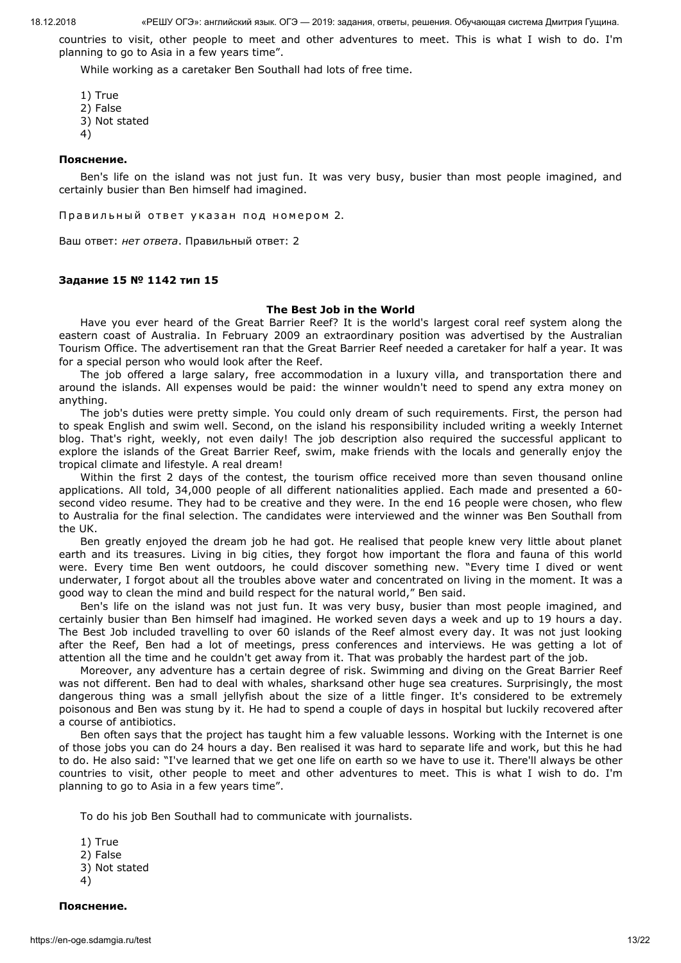countries to visit, other people to meet and other adventures to meet. This is what I wish to do. I'm planning to go to Asia in a few years time".

While working as a caretaker Ben Southall had lots of free time.

- 1) True
- 2) False
- 3) Not stated
- 4)

## **Пояснение.**

Ben's life on the island was not just fun. It was very busy, busier than most people imagined, and certainly busier than Ben himself had imagined.

Правильный ответ указан под номером 2.

Ваш ответ: *нет ответа*. Правильный ответ: 2

# **Задание 15 № 1142 тип 15**

### **The Best Job in the World**

Have you ever heard of the Great Barrier Reef? It is the world's largest coral reef system along the eastern coast of Australia. In February 2009 an extraordinary position was advertised by the Australian Tourism Office. The advertisement ran that the Great Barrier Reef needed a caretaker for half a year. It was for a special person who would look after the Reef.

The job offered a large salary, free accommodation in a luxury villa, and transportation there and around the islands. All expenses would be paid: the winner wouldn't need to spend any extra money on anything.

The job's duties were pretty simple. You could only dream of such requirements. First, the person had to speak English and swim well. Second, on the island his responsibility included writing a weekly Internet blog. That's right, weekly, not even daily! The job description also required the successful applicant to explore the islands of the Great Barrier Reef, swim, make friends with the locals and generally enjoy the tropical climate and lifestyle. A real dream!

Within the first 2 days of the contest, the tourism office received more than seven thousand online applications. All told, 34,000 people of all different nationalities applied. Each made and presented a 60 second video resume. They had to be creative and they were. In the end 16 people were chosen, who flew to Australia for the final selection. The candidates were interviewed and the winner was Ben Southall from the UK.

Ben greatly enjoyed the dream job he had got. He realised that people knew very little about planet earth and its treasures. Living in big cities, they forgot how important the flora and fauna of this world were. Every time Ben went outdoors, he could discover something new. "Every time I dived or went underwater, I forgot about all the troubles above water and concentrated on living in the moment. It was a good way to clean the mind and build respect for the natural world," Ben said.

Ben's life on the island was not just fun. It was very busy, busier than most people imagined, and certainly busier than Ben himself had imagined. He worked seven days a week and up to 19 hours a day. The Best Job included travelling to over 60 islands of the Reef almost every day. It was not just looking after the Reef, Ben had a lot of meetings, press conferences and interviews. He was getting a lot of attention all the time and he couldn't get away from it. That was probably the hardest part of the job.

Moreover, any adventure has a certain degree of risk. Swimming and diving on the Great Barrier Reef was not different. Ben had to deal with whales, sharksand other huge sea creatures. Surprisingly, the most dangerous thing was a small jellyfish about the size of a little finger. It's considered to be extremely poisonous and Ben was stung by it. He had to spend a couple of days in hospital but luckily recovered after a course of antibiotics.

Ben often says that the project has taught him a few valuable lessons. Working with the Internet is one of those jobs you can do 24 hours a day. Ben realised it was hard to separate life and work, but this he had to do. He also said: "I've learned that we get one life on earth so we have to use it. There'll always be other countries to visit, other people to meet and other adventures to meet. This is what I wish to do. I'm planning to go to Asia in a few years time".

To do his job Ben Southall had to communicate with journalists.

1) True 2) False 3) Not stated 4)

**Пояснение.**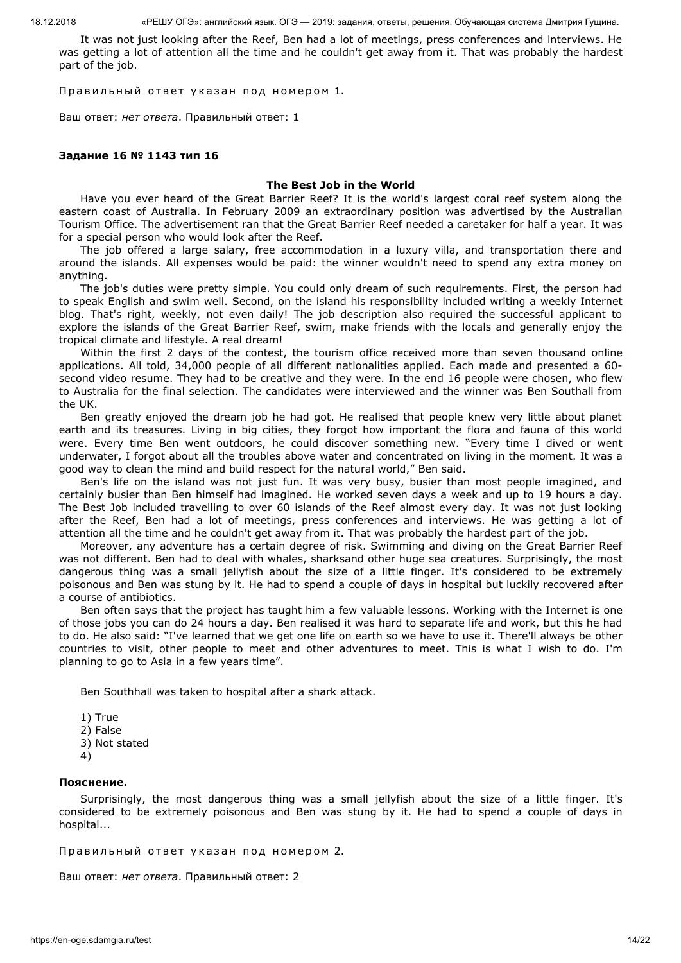It was not just looking after the Reef, Ben had a lot of meetings, press conferences and interviews. He was getting a lot of attention all the time and he couldn't get away from it. That was probably the hardest part of the job.

Правильный ответ указан под номером 1.

Ваш ответ: *нет ответа*. Правильный ответ: 1

#### **Задание 16 № 1143 тип 16**

#### **The Best Job in the World**

Have you ever heard of the Great Barrier Reef? It is the world's largest coral reef system along the eastern coast of Australia. In February 2009 an extraordinary position was advertised by the Australian Tourism Office. The advertisement ran that the Great Barrier Reef needed a caretaker for half a year. It was for a special person who would look after the Reef.

The job offered a large salary, free accommodation in a luxury villa, and transportation there and around the islands. All expenses would be paid: the winner wouldn't need to spend any extra money on anything.

The job's duties were pretty simple. You could only dream of such requirements. First, the person had to speak English and swim well. Second, on the island his responsibility included writing a weekly Internet blog. That's right, weekly, not even daily! The job description also required the successful applicant to explore the islands of the Great Barrier Reef, swim, make friends with the locals and generally enjoy the tropical climate and lifestyle. A real dream!

Within the first 2 days of the contest, the tourism office received more than seven thousand online applications. All told, 34,000 people of all different nationalities applied. Each made and presented a 60 second video resume. They had to be creative and they were. In the end 16 people were chosen, who flew to Australia for the final selection. The candidates were interviewed and the winner was Ben Southall from the UK.

Ben greatly enjoyed the dream job he had got. He realised that people knew very little about planet earth and its treasures. Living in big cities, they forgot how important the flora and fauna of this world were. Every time Ben went outdoors, he could discover something new. "Every time I dived or went underwater, I forgot about all the troubles above water and concentrated on living in the moment. It was a good way to clean the mind and build respect for the natural world," Ben said.

Ben's life on the island was not just fun. It was very busy, busier than most people imagined, and certainly busier than Ben himself had imagined. He worked seven days a week and up to 19 hours a day. The Best Job included travelling to over 60 islands of the Reef almost every day. It was not just looking after the Reef, Ben had a lot of meetings, press conferences and interviews. He was getting a lot of attention all the time and he couldn't get away from it. That was probably the hardest part of the job.

Moreover, any adventure has a certain degree of risk. Swimming and diving on the Great Barrier Reef was not different. Ben had to deal with whales, sharksand other huge sea creatures. Surprisingly, the most dangerous thing was a small jellyfish about the size of a little finger. It's considered to be extremely poisonous and Ben was stung by it. He had to spend a couple of days in hospital but luckily recovered after a course of antibiotics.

Ben often says that the project has taught him a few valuable lessons. Working with the Internet is one of those jobs you can do 24 hours a day. Ben realised it was hard to separate life and work, but this he had to do. He also said: "I've learned that we get one life on earth so we have to use it. There'll always be other countries to visit, other people to meet and other adventures to meet. This is what I wish to do. I'm planning to go to Asia in a few years time".

Ben Southhall was taken to hospital after a shark attack.

- 1) True
- 2) False
- 3) Not stated
- 4)

#### **Пояснение.**

Surprisingly, the most dangerous thing was a small jellyfish about the size of a little finger. It's considered to be extremely poisonous and Ben was stung by it. He had to spend a couple of days in hospital...

Правильный ответ указан под номером 2.

Ваш ответ: *нет ответа*. Правильный ответ: 2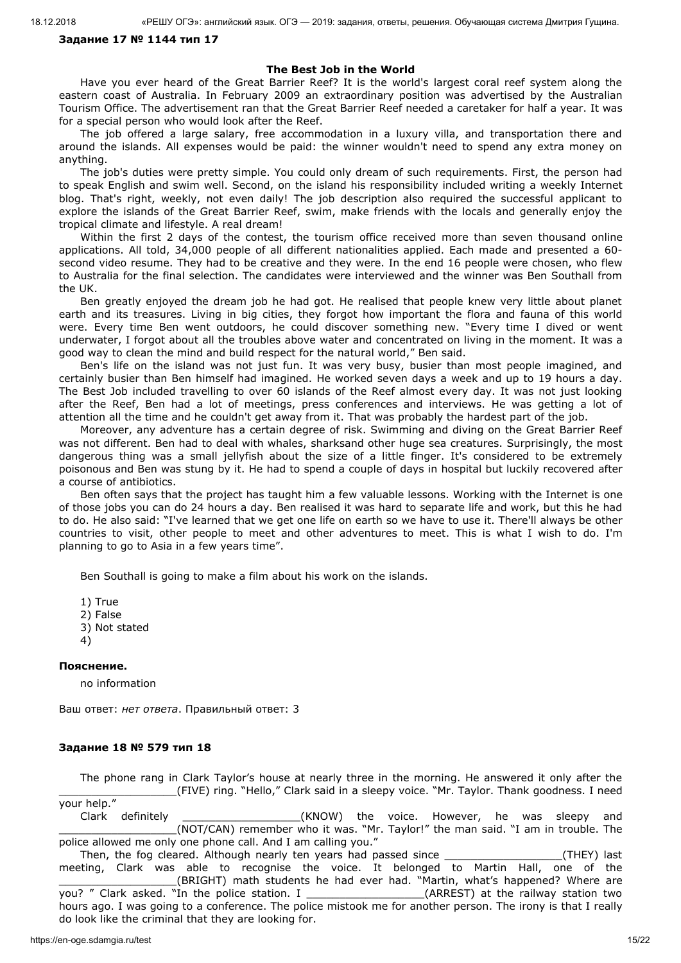# **Задание 17 № 1144 тип 17**

## **The Best Job in the World**

Have you ever heard of the Great Barrier Reef? It is the world's largest coral reef system along the eastern coast of Australia. In February 2009 an extraordinary position was advertised by the Australian Tourism Office. The advertisement ran that the Great Barrier Reef needed a caretaker for half a year. It was for a special person who would look after the Reef.

The job offered a large salary, free accommodation in a luxury villa, and transportation there and around the islands. All expenses would be paid: the winner wouldn't need to spend any extra money on anything.

The job's duties were pretty simple. You could only dream of such requirements. First, the person had to speak English and swim well. Second, on the island his responsibility included writing a weekly Internet blog. That's right, weekly, not even daily! The job description also required the successful applicant to explore the islands of the Great Barrier Reef, swim, make friends with the locals and generally enjoy the tropical climate and lifestyle. A real dream!

Within the first 2 days of the contest, the tourism office received more than seven thousand online applications. All told, 34,000 people of all different nationalities applied. Each made and presented a 60 second video resume. They had to be creative and they were. In the end 16 people were chosen, who flew to Australia for the final selection. The candidates were interviewed and the winner was Ben Southall from the UK.

Ben greatly enjoyed the dream job he had got. He realised that people knew very little about planet earth and its treasures. Living in big cities, they forgot how important the flora and fauna of this world were. Every time Ben went outdoors, he could discover something new. "Every time I dived or went underwater, I forgot about all the troubles above water and concentrated on living in the moment. It was a good way to clean the mind and build respect for the natural world," Ben said.

Ben's life on the island was not just fun. It was very busy, busier than most people imagined, and certainly busier than Ben himself had imagined. He worked seven days a week and up to 19 hours a day. The Best Job included travelling to over 60 islands of the Reef almost every day. It was not just looking after the Reef, Ben had a lot of meetings, press conferences and interviews. He was getting a lot of attention all the time and he couldn't get away from it. That was probably the hardest part of the job.

Moreover, any adventure has a certain degree of risk. Swimming and diving on the Great Barrier Reef was not different. Ben had to deal with whales, sharksand other huge sea creatures. Surprisingly, the most dangerous thing was a small jellyfish about the size of a little finger. It's considered to be extremely poisonous and Ben was stung by it. He had to spend a couple of days in hospital but luckily recovered after a course of antibiotics.

Ben often says that the project has taught him a few valuable lessons. Working with the Internet is one of those jobs you can do 24 hours a day. Ben realised it was hard to separate life and work, but this he had to do. He also said: "I've learned that we get one life on earth so we have to use it. There'll always be other countries to visit, other people to meet and other adventures to meet. This is what I wish to do. I'm planning to go to Asia in a few years time".

Ben Southall is going to make a film about his work on the islands.

1) True 2) False

3) Not stated

4)

#### **Пояснение.**

no information

Ваш ответ: *нет ответа*. Правильный ответ: 3

### **Задание 18 № 579 тип 18**

The phone rang in Clark Taylor's house at nearly three in the morning. He answered it only after the \_\_\_\_\_\_\_\_\_\_\_\_\_\_\_\_\_\_(FIVE) ring. "Hello," Clark said in a sleepy voice. "Mr. Taylor. Thank goodness. I need your help." Clark definitely \_\_\_\_\_\_\_\_\_\_\_\_\_\_\_\_\_\_\_\_\_\_\_(KNOW) the voice. However, he was sleepy and \_\_\_\_\_\_\_\_\_\_\_\_\_\_\_\_\_\_(NOT/CAN) remember who it was. "Mr. Taylor!" the man said. "I am in trouble. The police allowed me only one phone call. And I am calling you."

Then, the fog cleared. Although nearly ten years had passed since \_\_\_\_\_\_\_\_\_\_\_\_\_\_\_\_\_\_(THEY) last meeting, Clark was able to recognise the voice. It belonged to Martin Hall, one of the \_\_\_\_\_\_\_\_\_\_\_\_\_\_\_\_\_\_(BRIGHT) math students he had ever had. "Martin, what's happened? Where are you? " Clark asked. "In the police station. I \_\_\_\_\_\_\_\_\_\_\_\_\_\_\_\_\_\_\_\_\_(ARREST) at the railway station two hours ago. I was going to a conference. The police mistook me for another person. The irony is that I really do look like the criminal that they are looking for.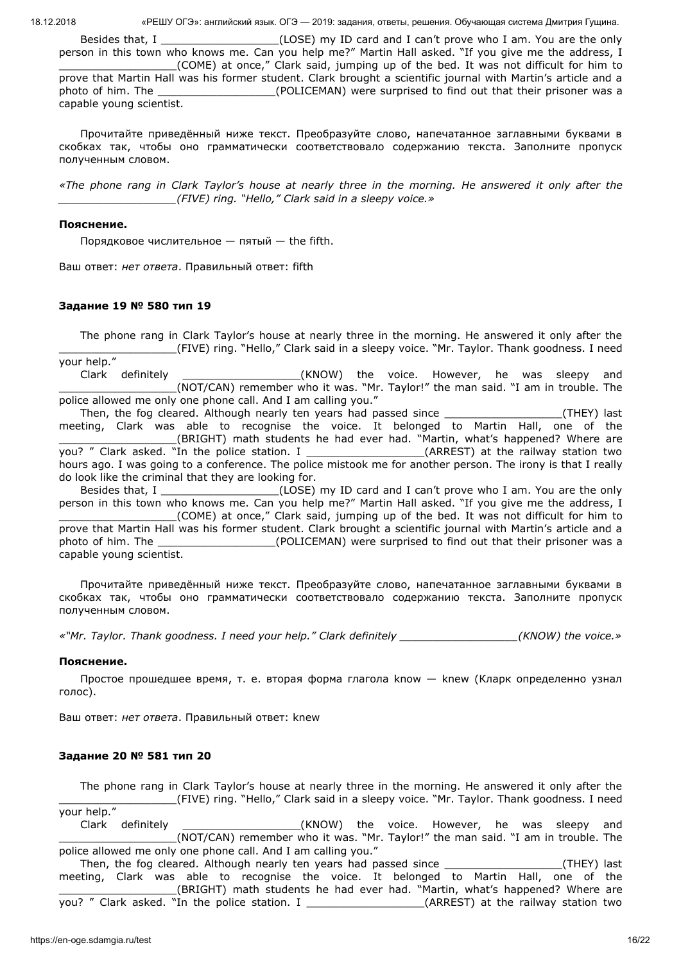Besides that, I \_\_\_\_\_\_\_\_\_\_\_\_\_\_\_\_\_\_\_\_(LOSE) my ID card and I can't prove who I am. You are the only person in this town who knows me. Can you help me?" Martin Hall asked. "If you give me the address, I \_\_\_\_\_\_\_\_\_\_\_\_\_\_\_\_\_\_(COME) at once," Clark said, jumping up of the bed. It was not difficult for him to prove that Martin Hall was his former student. Clark brought a scientific journal with Martin's article and a photo of him. The \_\_\_\_\_\_\_\_\_\_\_\_\_\_\_\_\_\_(POLICEMAN) were surprised to find out that their prisoner was a capable young scientist.

Прочитайте приведённый ниже текст. Преобразуйте слово, напечатанное заглавными буквами в скобках так, чтобы оно грамматически соответствовало содержанию текста. Заполните пропуск полученным словом.

*«The phone rang in Clark Taylor's house at nearly three in the morning. He answered it only after the \_\_\_\_\_\_\_\_\_\_\_\_\_\_\_\_\_\_(FIVE) ring. "Hello," Clark said in a sleepy voice.»*

## **Пояснение.**

Порядковое числительное — пятый — the fifth.

Ваш ответ: *нет ответа*. Правильный ответ: fifth

## **Задание 19 № 580 тип 19**

The phone rang in Clark Taylor's house at nearly three in the morning. He answered it only after the \_\_\_\_\_\_\_\_\_\_\_\_\_\_\_\_\_\_(FIVE) ring. "Hello," Clark said in a sleepy voice. "Mr. Taylor. Thank goodness. I need your help."

Clark definitely **Clark definitely Clark** definitely **clark** (KNOW) the voice. However, he was sleepy and \_\_\_\_\_\_\_\_\_\_\_\_\_\_\_\_\_\_(NOT/CAN) remember who it was. "Mr. Taylor!" the man said. "I am in trouble. The police allowed me only one phone call. And I am calling you."

Then, the fog cleared. Although nearly ten years had passed since \_\_\_\_\_\_\_\_\_\_\_\_\_\_\_\_\_\_(THEY) last meeting, Clark was able to recognise the voice. It belonged to Martin Hall, one of the \_\_\_\_\_\_\_\_\_\_\_\_\_\_\_\_\_\_(BRIGHT) math students he had ever had. "Martin, what's happened? Where are you? " Clark asked. "In the police station. I \_\_\_\_\_\_\_\_\_\_\_\_\_\_\_\_\_\_\_\_\_(ARREST) at the railway station two hours ago. I was going to a conference. The police mistook me for another person. The irony is that I really do look like the criminal that they are looking for.

Besides that, I \_\_\_\_\_\_\_\_\_\_\_\_\_\_\_\_\_\_\_\_(LOSE) my ID card and I can't prove who I am. You are the only person in this town who knows me. Can you help me?" Martin Hall asked. "If you give me the address, I \_\_\_\_\_\_\_\_\_\_\_\_\_\_\_\_\_\_(COME) at once," Clark said, jumping up of the bed. It was not difficult for him to prove that Martin Hall was his former student. Clark brought a scientific journal with Martin's article and a photo of him. The \_\_\_\_\_\_\_\_\_\_\_\_\_\_\_\_\_\_(POLICEMAN) were surprised to find out that their prisoner was a capable young scientist.

Прочитайте приведённый ниже текст. Преобразуйте слово, напечатанное заглавными буквами в скобках так, чтобы оно грамматически соответствовало содержанию текста. Заполните пропуск полученным словом.

*«"Mr. Taylor. Thank goodness. I need your help." Clark definitely \_\_\_\_\_\_\_\_\_\_\_\_\_\_\_\_\_\_(KNOW) the voice.»*

### **Пояснение.**

Простое прошедшее время, т. е. вторая форма глагола know — knew (Кларк определенно узнал голос).

Ваш ответ: *нет ответа*. Правильный ответ: knew

## **Задание 20 № 581 тип 20**

The phone rang in Clark Taylor's house at nearly three in the morning. He answered it only after the \_\_\_\_\_\_\_\_\_\_\_\_\_\_\_\_\_\_(FIVE) ring. "Hello," Clark said in a sleepy voice. "Mr. Taylor. Thank goodness. I need your help."

Clark definitely **Clark and Clark definitely** and (KNOW) the voice. However, he was sleepy and \_\_\_\_\_\_\_\_\_\_\_\_\_\_\_\_\_\_(NOT/CAN) remember who it was. "Mr. Taylor!" the man said. "I am in trouble. The police allowed me only one phone call. And I am calling you."

Then, the fog cleared. Although nearly ten years had passed since \_\_\_\_\_\_\_\_\_\_\_\_\_\_\_\_\_\_(THEY) last meeting, Clark was able to recognise the voice. It belonged to Martin Hall, one of the \_\_\_\_\_\_\_\_\_\_\_\_\_\_\_\_\_\_(BRIGHT) math students he had ever had. "Martin, what's happened? Where are you? " Clark asked. "In the police station. I \_\_\_\_\_\_\_\_\_\_\_\_\_\_\_\_\_\_\_\_\_(ARREST) at the railway station two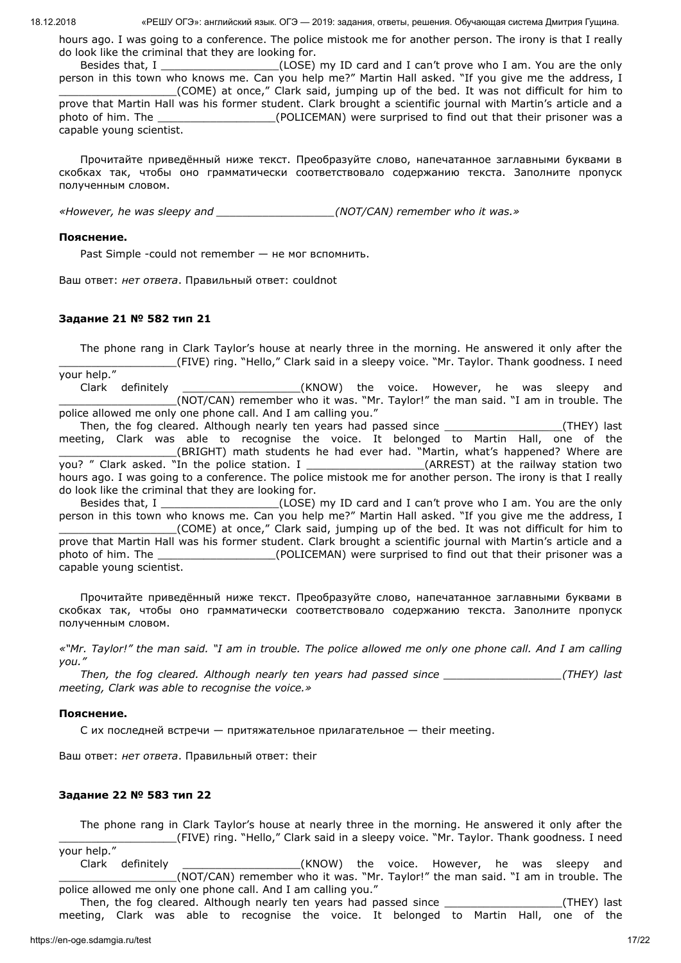hours ago. I was going to a conference. The police mistook me for another person. The irony is that I really do look like the criminal that they are looking for.

Besides that, I \_\_\_\_\_\_\_\_\_\_\_\_\_\_\_\_\_\_\_\_(LOSE) my ID card and I can't prove who I am. You are the only person in this town who knows me. Can you help me?" Martin Hall asked. "If you give me the address, I \_\_\_\_\_\_\_\_\_\_\_\_\_\_\_\_\_\_(COME) at once," Clark said, jumping up of the bed. It was not difficult for him to prove that Martin Hall was his former student. Clark brought a scientific journal with Martin's article and a photo of him. The \_\_\_\_\_\_\_\_\_\_\_\_\_\_\_\_\_\_(POLICEMAN) were surprised to find out that their prisoner was a capable young scientist.

Прочитайте приведённый ниже текст. Преобразуйте слово, напечатанное заглавными буквами в скобках так, чтобы оно грамматически соответствовало содержанию текста. Заполните пропуск полученным словом.

*«However, he was sleepy and \_\_\_\_\_\_\_\_\_\_\_\_\_\_\_\_\_\_(NOT/CAN) remember who it was.»*

## **Пояснение.**

Past Simple -could not remember — не мог вспомнить.

Ваш ответ: *нет ответа*. Правильный ответ: couldnot

# **Задание 21 № 582 тип 21**

The phone rang in Clark Taylor's house at nearly three in the morning. He answered it only after the \_\_\_\_\_\_\_\_\_\_\_\_\_\_\_\_\_\_(FIVE) ring. "Hello," Clark said in a sleepy voice. "Mr. Taylor. Thank goodness. I need your help."

Clark definitely **Clark definitely Clark** definitely **clark** (KNOW) the voice. However, he was sleepy and \_\_\_\_\_\_\_\_\_\_\_\_\_\_\_\_\_\_(NOT/CAN) remember who it was. "Mr. Taylor!" the man said. "I am in trouble. The police allowed me only one phone call. And I am calling you."

Then, the fog cleared. Although nearly ten years had passed since \_\_\_\_\_\_\_\_\_\_\_\_\_\_\_\_\_\_\_\_(THEY) last meeting, Clark was able to recognise the voice. It belonged to Martin Hall, one of the \_\_\_\_\_\_\_\_\_\_\_\_\_\_\_\_\_\_(BRIGHT) math students he had ever had. "Martin, what's happened? Where are you? " Clark asked. "In the police station. I \_\_\_\_\_\_\_\_\_\_\_\_\_\_\_\_\_\_\_\_\_(ARREST) at the railway station two hours ago. I was going to a conference. The police mistook me for another person. The irony is that I really do look like the criminal that they are looking for.

Besides that, I \_\_\_\_\_\_\_\_\_\_\_\_\_\_\_\_\_\_\_\_(LOSE) my ID card and I can't prove who I am. You are the only person in this town who knows me. Can you help me?" Martin Hall asked. "If you give me the address, I \_\_\_\_\_\_\_\_\_\_\_\_\_\_\_\_\_\_(COME) at once," Clark said, jumping up of the bed. It was not difficult for him to prove that Martin Hall was his former student. Clark brought a scientific journal with Martin's article and a photo of him. The \_\_\_\_\_\_\_\_\_\_\_\_\_\_\_\_\_\_\_\_\_\_\_\_(POLICEMAN) were surprised to find out that their prisoner was a capable young scientist.

Прочитайте приведённый ниже текст. Преобразуйте слово, напечатанное заглавными буквами в скобках так, чтобы оно грамматически соответствовало содержанию текста. Заполните пропуск полученным словом.

*«"Mr. Taylor!" the man said. "I am in trouble. The police allowed me only one phone call. And I am calling you."*

*Then, the fog cleared. Although nearly ten years had passed since \_\_\_\_\_\_\_\_\_\_\_\_\_\_\_\_\_\_(THEY) last meeting, Clark was able to recognise the voice.»*

### **Пояснение.**

C их последней встречи — притяжательное прилагательное — their meeting.

Ваш ответ: *нет ответа*. Правильный ответ: their

# **Задание 22 № 583 тип 22**

The phone rang in Clark Taylor's house at nearly three in the morning. He answered it only after the \_\_\_\_\_\_\_\_\_\_\_\_\_\_\_\_\_\_(FIVE) ring. "Hello," Clark said in a sleepy voice. "Mr. Taylor. Thank goodness. I need

your help." Clark definitely \_\_\_\_\_\_\_\_\_\_\_\_\_\_\_\_\_\_(KNOW) the voice. However, he was sleepy and \_\_\_\_\_\_\_\_\_\_\_\_\_\_\_\_\_\_(NOT/CAN) remember who it was. "Mr. Taylor!" the man said. "I am in trouble. The police allowed me only one phone call. And I am calling you."

Then, the fog cleared. Although nearly ten years had passed since \_\_\_\_\_\_\_\_\_\_\_\_\_\_\_\_\_\_(THEY) last meeting, Clark was able to recognise the voice. It belonged to Martin Hall, one of the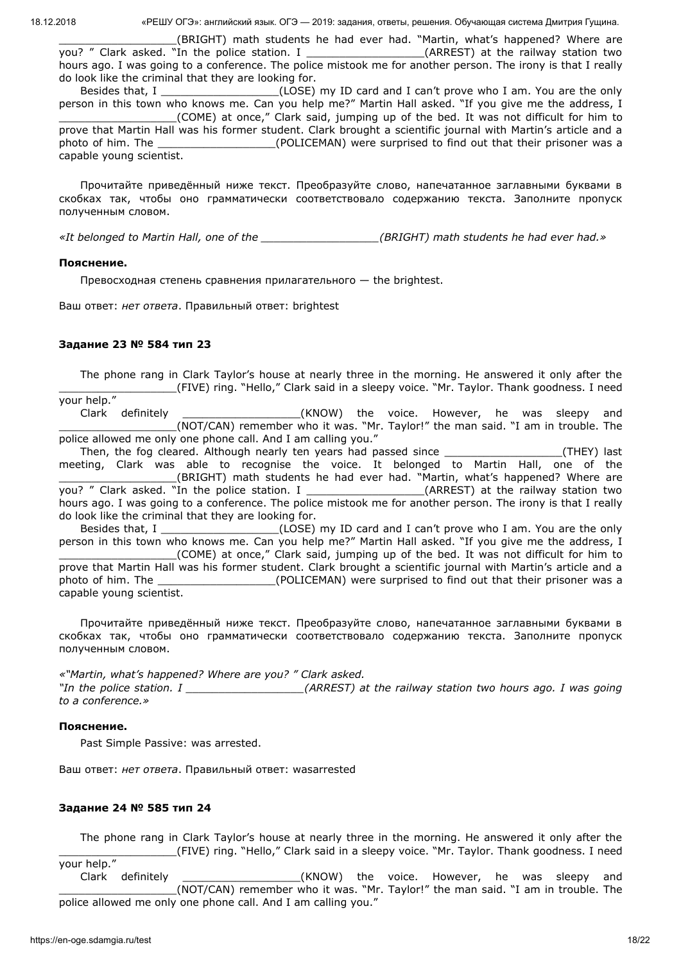\_\_\_\_\_\_\_\_\_\_\_\_\_\_\_\_\_\_(BRIGHT) math students he had ever had. "Martin, what's happened? Where are you? " Clark asked. "In the police station. I \_\_\_\_\_\_\_\_\_\_\_\_\_\_\_\_\_\_\_\_\_\_(ARREST) at the railway station two hours ago. I was going to a conference. The police mistook me for another person. The irony is that I really do look like the criminal that they are looking for.

Besides that, I \_\_\_\_\_\_\_\_\_\_\_\_\_\_\_\_\_\_\_\_(LOSE) my ID card and I can't prove who I am. You are the only person in this town who knows me. Can you help me?" Martin Hall asked. "If you give me the address, I \_\_\_\_\_\_\_\_\_\_\_\_\_\_\_\_\_\_(COME) at once," Clark said, jumping up of the bed. It was not difficult for him to prove that Martin Hall was his former student. Clark brought a scientific journal with Martin's article and a photo of him. The \_\_\_\_\_\_\_\_\_\_\_\_\_\_\_\_\_\_\_\_\_(POLICEMAN) were surprised to find out that their prisoner was a capable young scientist.

Прочитайте приведённый ниже текст. Преобразуйте слово, напечатанное заглавными буквами в скобках так, чтобы оно грамматически соответствовало содержанию текста. Заполните пропуск полученным словом.

*«It belonged to Martin Hall, one of the \_\_\_\_\_\_\_\_\_\_\_\_\_\_\_\_\_\_(BRIGHT) math students he had ever had.»*

## **Пояснение.**

Превосходная степень сравнения прилагательного  $-$  the brightest.

Ваш ответ: *нет ответа*. Правильный ответ: brightest

## **Задание 23 № 584 тип 23**

The phone rang in Clark Taylor's house at nearly three in the morning. He answered it only after the \_\_\_\_\_\_\_\_\_\_\_\_\_\_\_\_\_\_(FIVE) ring. "Hello," Clark said in a sleepy voice. "Mr. Taylor. Thank goodness. I need your help."

Clark definitely **Clark definitely Clark** definitely **clark** (KNOW) the voice. However, he was sleepy and \_\_\_\_\_\_\_\_\_\_\_\_\_\_\_\_\_\_(NOT/CAN) remember who it was. "Mr. Taylor!" the man said. "I am in trouble. The police allowed me only one phone call. And I am calling you."

Then, the fog cleared. Although nearly ten years had passed since \_\_\_\_\_\_\_\_\_\_\_\_\_\_\_\_\_\_\_\_(THEY) last meeting, Clark was able to recognise the voice. It belonged to Martin Hall, one of the \_\_\_\_\_\_\_\_\_\_\_\_\_\_\_\_\_\_(BRIGHT) math students he had ever had. "Martin, what's happened? Where are you? " Clark asked. "In the police station. I \_\_\_\_\_\_\_\_\_\_\_\_\_\_\_\_\_\_\_\_(ARREST) at the railway station two hours ago. I was going to a conference. The police mistook me for another person. The irony is that I really do look like the criminal that they are looking for.

Besides that, I \_\_\_\_\_\_\_\_\_\_\_\_\_\_\_\_\_\_(LOSE) my ID card and I can't prove who I am. You are the only person in this town who knows me. Can you help me?" Martin Hall asked. "If you give me the address, I \_\_\_\_\_\_\_\_\_\_\_\_\_\_\_\_\_\_(COME) at once," Clark said, jumping up of the bed. It was not difficult for him to

prove that Martin Hall was his former student. Clark brought a scientific journal with Martin's article and a photo of him. The \_\_\_\_\_\_\_\_\_\_\_\_\_\_\_\_\_\_(POLICEMAN) were surprised to find out that their prisoner was a capable young scientist.

Прочитайте приведённый ниже текст. Преобразуйте слово, напечатанное заглавными буквами в скобках так, чтобы оно грамматически соответствовало содержанию текста. Заполните пропуск полученным словом.

*«"Martin, what's happened? Where are you? " Clark asked. "In the police station. I \_\_\_\_\_\_\_\_\_\_\_\_\_\_\_\_\_\_(ARREST) at the railway station two hours ago. I was going to a conference.»*

### **Пояснение.**

Past Simple Passive: was arrested.

Ваш ответ: *нет ответа*. Правильный ответ: wasarrested

### **Задание 24 № 585 тип 24**

The phone rang in Clark Taylor's house at nearly three in the morning. He answered it only after the \_\_\_\_\_\_\_\_\_\_\_\_\_\_\_\_\_\_(FIVE) ring. "Hello," Clark said in a sleepy voice. "Mr. Taylor. Thank goodness. I need your help."

Clark definitely **Clark definitely Clark** definitely **clark** (KNOW) the voice. However, he was sleepy and \_\_\_\_\_\_\_\_\_\_\_\_\_\_\_\_\_\_(NOT/CAN) remember who it was. "Mr. Taylor!" the man said. "I am in trouble. The police allowed me only one phone call. And I am calling you."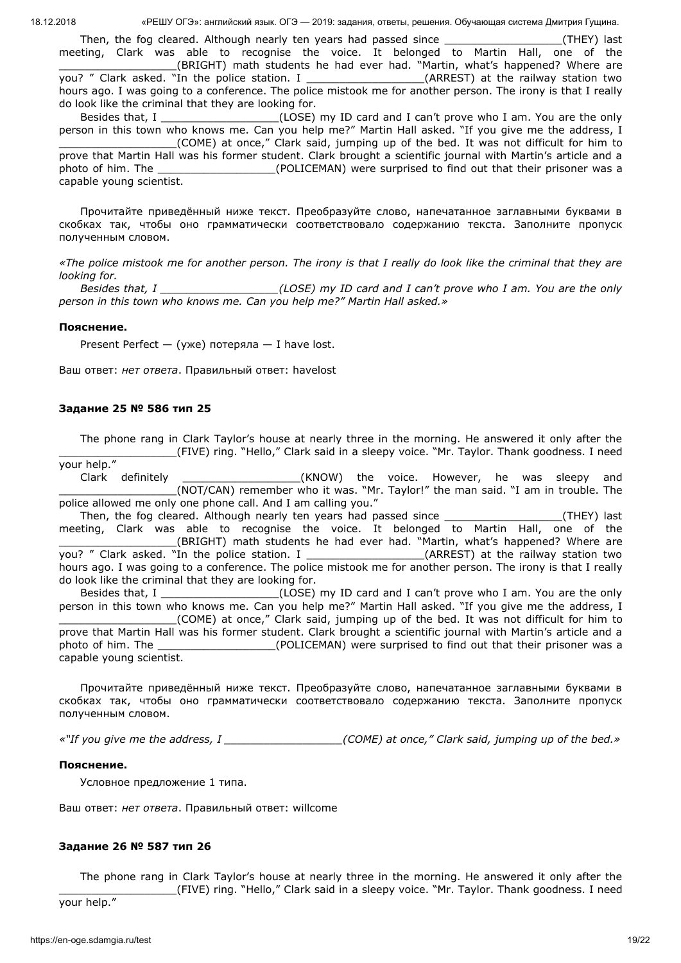Then, the fog cleared. Although nearly ten years had passed since \_\_\_\_\_\_\_\_\_\_\_\_\_\_\_\_\_\_\_(THEY) last meeting, Clark was able to recognise the voice. It belonged to Martin Hall, one of the \_\_\_\_\_\_\_\_\_\_\_\_\_\_\_\_\_\_(BRIGHT) math students he had ever had. "Martin, what's happened? Where are you? " Clark asked. "In the police station. I \_\_\_\_\_\_\_\_\_\_\_\_\_\_\_\_\_\_\_\_\_(ARREST) at the railway station two hours ago. I was going to a conference. The police mistook me for another person. The irony is that I really do look like the criminal that they are looking for.

Besides that, I \_\_\_\_\_\_\_\_\_\_\_\_\_\_\_\_\_\_\_\_(LOSE) my ID card and I can't prove who I am. You are the only person in this town who knows me. Can you help me?" Martin Hall asked. "If you give me the address, I \_\_\_\_\_\_\_\_\_\_\_\_\_\_\_\_\_\_(COME) at once," Clark said, jumping up of the bed. It was not difficult for him to prove that Martin Hall was his former student. Clark brought a scientific journal with Martin's article and a photo of him. The \_\_\_\_\_\_\_\_\_\_\_\_\_\_\_\_\_\_\_\_\_\_\_\_(POLICEMAN) were surprised to find out that their prisoner was a capable young scientist.

Прочитайте приведённый ниже текст. Преобразуйте слово, напечатанное заглавными буквами в скобках так, чтобы оно грамматически соответствовало содержанию текста. Заполните пропуск полученным словом.

*«The police mistook me for another person. The irony is that I really do look like the criminal that they are looking for.*

*Besides that, I \_\_\_\_\_\_\_\_\_\_\_\_\_\_\_\_\_\_(LOSE) my ID card and I can't prove who I am. You are the only person in this town who knows me. Can you help me?" Martin Hall asked.»*

#### **Пояснение.**

Present Perfect — (уже) потеряла — I have lost.

Ваш ответ: *нет ответа*. Правильный ответ: havelost

#### **Задание 25 № 586 тип 25**

The phone rang in Clark Taylor's house at nearly three in the morning. He answered it only after the \_\_\_\_\_\_\_\_\_\_\_\_\_\_\_\_\_\_(FIVE) ring. "Hello," Clark said in a sleepy voice. "Mr. Taylor. Thank goodness. I need your help."

Clark definitely \_\_\_\_\_\_\_\_\_\_\_\_\_\_\_\_\_\_(KNOW) the voice. However, he was sleepy and \_\_\_\_\_\_\_\_\_\_\_\_\_\_\_\_\_\_(NOT/CAN) remember who it was. "Mr. Taylor!" the man said. "I am in trouble. The police allowed me only one phone call. And I am calling you."

Then, the fog cleared. Although nearly ten years had passed since \_\_\_\_\_\_\_\_\_\_\_\_\_\_\_\_\_\_(THEY) last meeting, Clark was able to recognise the voice. It belonged to Martin Hall, one of the \_\_\_\_\_\_\_\_\_\_\_\_\_\_\_\_\_\_(BRIGHT) math students he had ever had. "Martin, what's happened? Where are you? " Clark asked. "In the police station. I \_\_\_\_\_\_\_\_\_\_\_\_\_\_\_\_\_\_\_\_\_\_(ARREST) at the railway station two hours ago. I was going to a conference. The police mistook me for another person. The irony is that I really do look like the criminal that they are looking for.

Besides that, I \_\_\_\_\_\_\_\_\_\_\_\_\_\_\_\_\_\_(LOSE) my ID card and I can't prove who I am. You are the only person in this town who knows me. Can you help me?" Martin Hall asked. "If you give me the address, I \_\_\_\_\_\_\_\_\_\_\_\_\_\_\_\_\_\_(COME) at once," Clark said, jumping up of the bed. It was not difficult for him to

prove that Martin Hall was his former student. Clark brought a scientific journal with Martin's article and a photo of him. The **Example 20 and Set COLICEMAN**) were surprised to find out that their prisoner was a capable young scientist.

Прочитайте приведённый ниже текст. Преобразуйте слово, напечатанное заглавными буквами в скобках так, чтобы оно грамматически соответствовало содержанию текста. Заполните пропуск полученным словом.

*«"If you give me the address, I \_\_\_\_\_\_\_\_\_\_\_\_\_\_\_\_\_\_(COME) at once," Clark said, jumping up of the bed.»*

#### **Пояснение.**

Условное предложение 1 типа.

Ваш ответ: *нет ответа*. Правильный ответ: willcome

### **Задание 26 № 587 тип 26**

The phone rang in Clark Taylor's house at nearly three in the morning. He answered it only after the \_\_\_\_\_\_\_\_\_\_\_\_\_\_\_\_\_\_(FIVE) ring. "Hello," Clark said in a sleepy voice. "Mr. Taylor. Thank goodness. I need

your help."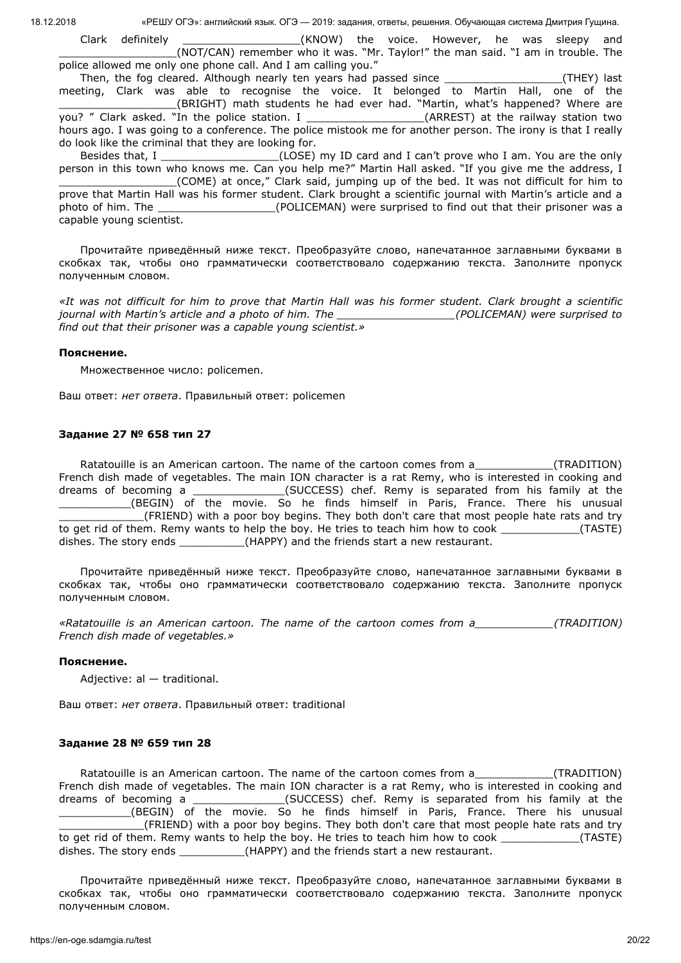Clark definitely \_\_\_\_\_\_\_\_\_\_\_\_\_\_\_\_\_\_(KNOW) the voice. However, he was sleepy and \_\_\_\_\_\_\_\_\_\_\_\_\_\_\_\_\_\_(NOT/CAN) remember who it was. "Mr. Taylor!" the man said. "I am in trouble. The police allowed me only one phone call. And I am calling you."

Then, the fog cleared. Although nearly ten years had passed since \_\_\_\_\_\_\_\_\_\_\_\_\_\_\_\_\_\_\_(THEY) last meeting, Clark was able to recognise the voice. It belonged to Martin Hall, one of the \_\_\_\_\_\_\_\_\_\_\_\_\_\_\_\_\_\_(BRIGHT) math students he had ever had. "Martin, what's happened? Where are you? " Clark asked. "In the police station. I \_\_\_\_\_\_\_\_\_\_\_\_\_\_\_\_\_\_\_\_\_\_(ARREST) at the railway station two hours ago. I was going to a conference. The police mistook me for another person. The irony is that I really do look like the criminal that they are looking for.

Besides that, I \_\_\_\_\_\_\_\_\_\_\_\_\_\_\_\_\_\_(LOSE) my ID card and I can't prove who I am. You are the only person in this town who knows me. Can you help me?" Martin Hall asked. "If you give me the address, I \_\_\_\_\_\_\_\_\_\_\_\_\_\_\_\_\_\_(COME) at once," Clark said, jumping up of the bed. It was not difficult for him to prove that Martin Hall was his former student. Clark brought a scientific journal with Martin's article and a photo of him. The **Example 20** (POLICEMAN) were surprised to find out that their prisoner was a capable young scientist.

Прочитайте приведённый ниже текст. Преобразуйте слово, напечатанное заглавными буквами в скобках так, чтобы оно грамматически соответствовало содержанию текста. Заполните пропуск полученным словом.

*«It was not difficult for him to prove that Martin Hall was his former student. Clark brought a scientific journal with Martin's article and a photo of him. The \_\_\_\_\_\_\_\_\_\_\_\_\_\_\_\_\_\_(POLICEMAN) were surprised to find out that their prisoner was a capable young scientist.»*

# **Пояснение.**

Множественное число: policemen.

Ваш ответ: *нет ответа*. Правильный ответ: policemen

# **Задание 27 № 658 тип 27**

Ratatouille is an American cartoon. The name of the cartoon comes from a \_\_\_\_\_\_\_\_\_\_\_\_\_\_(TRADITION) French dish made of vegetables. The main ION character is a rat Remy, who is interested in cooking and dreams of becoming a \_\_\_\_\_\_\_\_\_\_\_\_\_\_\_(SUCCESS) chef. Remy is separated from his family at the \_\_\_\_\_\_\_\_\_\_\_(BEGIN) of the movie. So he finds himself in Paris, France. There his unusual \_\_\_\_\_\_\_\_\_\_\_\_\_(FRIEND) with a poor boy begins. They both don't care that most people hate rats and try to get rid of them. Remy wants to help the boy. He tries to teach him how to cook \_\_\_\_\_\_\_\_\_\_\_\_(TASTE) dishes. The story ends \_\_\_\_\_\_\_\_\_\_\_\_(HAPPY) and the friends start a new restaurant.

Прочитайте приведённый ниже текст. Преобразуйте слово, напечатанное заглавными буквами в скобках так, чтобы оно грамматически соответствовало содержанию текста. Заполните пропуск полученным словом.

*«Ratatouille is an American cartoon. The name of the cartoon comes from a\_\_\_\_\_\_\_\_\_\_\_\_(TRADITION) French dish made of vegetables.»*

# **Пояснение.**

Adjective: al — traditional.

Ваш ответ: *нет ответа*. Правильный ответ: traditional

# **Задание 28 № 659 тип 28**

Ratatouille is an American cartoon. The name of the cartoon comes from a TRADITION) French dish made of vegetables. The main ION character is a rat Remy, who is interested in cooking and dreams of becoming a \_\_\_\_\_\_\_\_\_\_\_\_\_\_(SUCCESS) chef. Remy is separated from his family at the (BEGIN) of the movie. So he finds himself in Paris, France. There his unusual (FRIEND) with a poor boy begins. They both don't care that most people hate rats and try to get rid of them. Remy wants to help the boy. He tries to teach him how to cook  $(TASTE)$ dishes. The story ends \_\_\_\_\_\_\_\_\_\_\_\_(HAPPY) and the friends start a new restaurant.

Прочитайте приведённый ниже текст. Преобразуйте слово, напечатанное заглавными буквами в скобках так, чтобы оно грамматически соответствовало содержанию текста. Заполните пропуск полученным словом.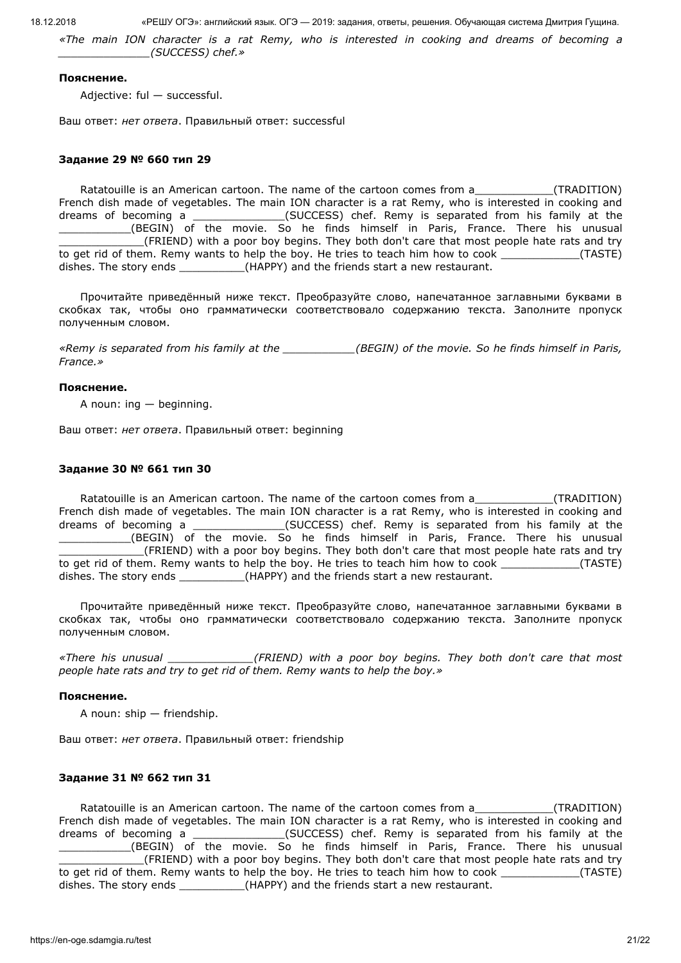*«The main ION character is a rat Remy, who is interested in cooking and dreams of becoming a \_\_\_\_\_\_\_\_\_\_\_\_\_\_(SUCCESS) chef.»*

#### **Пояснение.**

Adjective: ful — successful.

Ваш ответ: *нет ответа*. Правильный ответ: successful

#### **Задание 29 № 660 тип 29**

Ratatouille is an American cartoon. The name of the cartoon comes from a \_\_\_\_\_\_\_\_\_\_\_\_\_\_(TRADITION) French dish made of vegetables. The main ION character is a rat Remy, who is interested in cooking and dreams of becoming a \_\_\_\_\_\_\_\_\_\_\_\_\_\_\_(SUCCESS) chef. Remy is separated from his family at the \_\_\_\_\_\_\_\_\_\_\_(BEGIN) of the movie. So he finds himself in Paris, France. There his unusual \_\_\_\_\_\_\_\_\_\_\_\_\_(FRIEND) with a poor boy begins. They both don't care that most people hate rats and try to get rid of them. Remy wants to help the boy. He tries to teach him how to cook \_\_\_\_\_\_\_\_\_\_\_\_(TASTE) dishes. The story ends \_\_\_\_\_\_\_\_\_\_(HAPPY) and the friends start a new restaurant.

Прочитайте приведённый ниже текст. Преобразуйте слово, напечатанное заглавными буквами в скобках так, чтобы оно грамматически соответствовало содержанию текста. Заполните пропуск полученным словом.

*«Remy is separated from his family at the \_\_\_\_\_\_\_\_\_\_\_(BEGIN) of the movie. So he finds himself in Paris, France.»*

#### **Пояснение.**

A noun: ing — beginning.

Ваш ответ: *нет ответа*. Правильный ответ: beginning

### **Задание 30 № 661 тип 30**

Ratatouille is an American cartoon. The name of the cartoon comes from a\_\_\_\_\_\_\_\_\_\_\_\_(TRADITION) French dish made of vegetables. The main ION character is a rat Remy, who is interested in cooking and dreams of becoming a \_\_\_\_\_\_\_\_\_\_\_\_\_\_(SUCCESS) chef. Remy is separated from his family at the \_\_\_\_\_\_\_\_\_\_\_(BEGIN) of the movie. So he finds himself in Paris, France. There his unusual \_\_\_\_\_\_\_\_\_\_\_\_\_(FRIEND) with a poor boy begins. They both don't care that most people hate rats and try to get rid of them. Remy wants to help the boy. He tries to teach him how to cook \_\_\_\_\_\_\_\_\_\_\_\_(TASTE) dishes. The story ends \_\_\_\_\_\_\_\_\_\_\_\_(HAPPY) and the friends start a new restaurant.

Прочитайте приведённый ниже текст. Преобразуйте слово, напечатанное заглавными буквами в скобках так, чтобы оно грамматически соответствовало содержанию текста. Заполните пропуск полученным словом.

*«There his unusual \_\_\_\_\_\_\_\_\_\_\_\_\_(FRIEND) with a poor boy begins. They both don't care that most people hate rats and try to get rid of them. Remy wants to help the boy.»*

#### **Пояснение.**

A noun: ship — friendship.

Ваш ответ: *нет ответа*. Правильный ответ: friendship

## **Задание 31 № 662 тип 31**

Ratatouille is an American cartoon. The name of the cartoon comes from a\_\_\_\_\_\_\_\_\_\_\_\_(TRADITION) French dish made of vegetables. The main ION character is a rat Remy, who is interested in cooking and dreams of becoming a  $(SUCCES)$  chef. Remy is separated from his family at the (BEGIN) of the movie. So he finds himself in Paris, France. There his unusual \_\_\_\_\_\_\_\_\_\_\_\_\_(FRIEND) with a poor boy begins. They both don't care that most people hate rats and try to get rid of them. Remy wants to help the boy. He tries to teach him how to cook  $(TASTE)$ dishes. The story ends  $(HAPPY)$  and the friends start a new restaurant.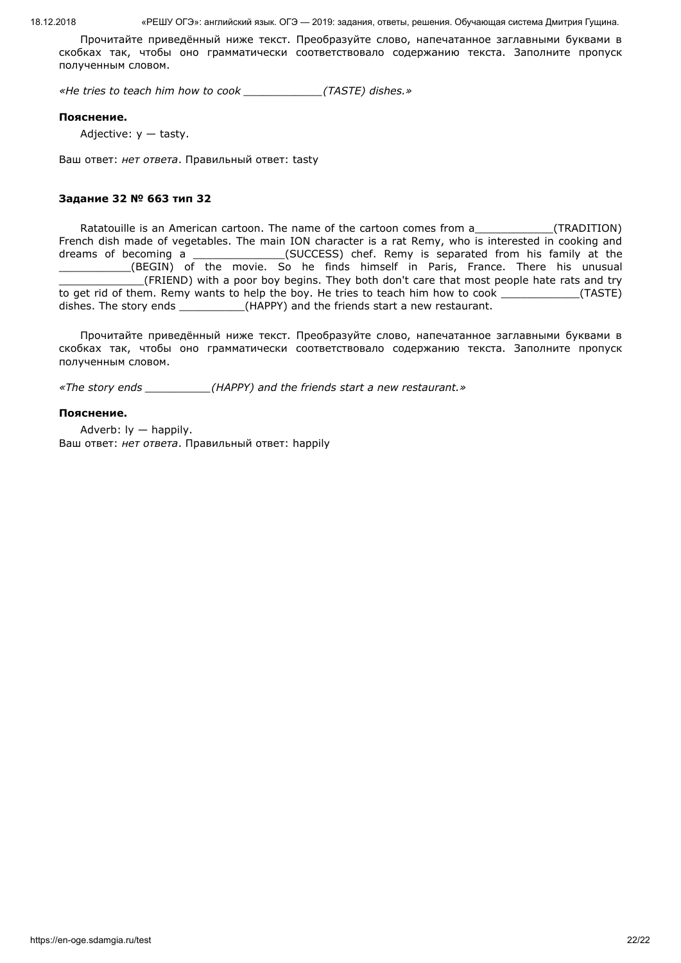Прочитайте приведённый ниже текст. Преобразуйте слово, напечатанное заглавными буквами в скобках так, чтобы оно грамматически соответствовало содержанию текста. Заполните пропуск полученным словом.

*«He tries to teach him how to cook \_\_\_\_\_\_\_\_\_\_\_\_(TASTE) dishes.»*

#### **Пояснение.**

Adjective:  $y -$  tasty.

Ваш ответ: *нет ответа*. Правильный ответ: tasty

## **Задание 32 № 663 тип 32**

Ratatouille is an American cartoon. The name of the cartoon comes from a\_\_\_\_\_\_\_\_\_\_\_\_\_\_(TRADITION) French dish made of vegetables. The main ION character is a rat Remy, who is interested in cooking and dreams of becoming a \_\_\_\_\_\_\_\_\_\_\_\_\_\_\_(SUCCESS) chef. Remy is separated from his family at the \_\_\_\_\_\_\_\_\_\_\_(BEGIN) of the movie. So he finds himself in Paris, France. There his unusual \_\_\_\_\_\_\_\_\_\_\_\_\_(FRIEND) with a poor boy begins. They both don't care that most people hate rats and try to get rid of them. Remy wants to help the boy. He tries to teach him how to cook \_\_\_\_\_\_\_\_\_\_\_\_(TASTE) dishes. The story ends \_\_\_\_\_\_\_\_\_\_\_(HAPPY) and the friends start a new restaurant.

Прочитайте приведённый ниже текст. Преобразуйте слово, напечатанное заглавными буквами в скобках так, чтобы оно грамматически соответствовало содержанию текста. Заполните пропуск полученным словом.

*«The story ends \_\_\_\_\_\_\_\_\_\_(HAPPY) and the friends start a new restaurant.»*

#### **Пояснение.**

Adverb: ly — happily. Ваш ответ: *нет ответа*. Правильный ответ: happily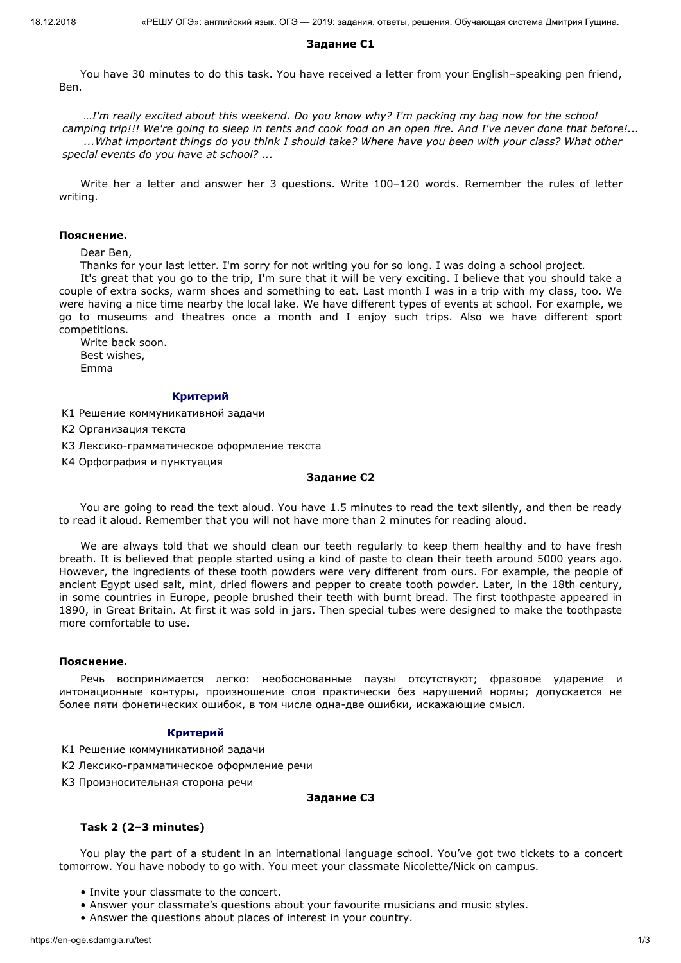# **Задание С1**

You have 30 minutes to do this task. You havе rеcеivеd a lеttеr from your English–spеaking pеn friеnd, Bеn.

*…I'm really excited about this weekend. Do you know why? I'm packing my bag now for the school camping trip!!! We're going to sleep in tents and cook food on an open fire. And I've never done that before!... ...What important things do you think I should take? Where have you been with your class? What other special events do you have at school? ...*

Write her a letter and answer her 3 questions. Write 100–120 words. Remember the rules of letter writing.

## **Пояснение.**

Dear Ben,

Thanks for your last letter. I'm sorry for not writing you for so long. I was doing a school project.

It's great that you go to the trip, I'm sure that it will be very exciting. I believe that you should take a couple of extra socks, warm shoes and something to eat. Last month I was in a trip with my class, too. We were having a nice time nearby the local lake. We have different types of events at school. For example, we go to museums and theatres once a month and I enjoy such trips. Also we have different sport competitions.

Write back soon. Best wishes, Emma

# **Критерий**

K1 Решение коммуникативной задачи

K2 Организация текста

K3 Лексико-грамматическое оформление текста

K4 Орфография и пунктуация

#### **Задание С2**

You are going to read the text aloud. You have 1.5 minutes to read the text silently, and then be ready to read it aloud. Remember that you will not have more than 2 minutes for reading aloud.

We are always told that we should clean our teeth regularly to keep them healthy and to have fresh breath. It is believed that people started using a kind of paste to clean their teeth around 5000 years ago. However, the ingredients of these tooth powders were very different from ours. For example, the people of ancient Egypt used salt, mint, dried flowers and pepper to create tooth powder. Later, in the 18th century, in some countries in Europe, people brushed their teeth with burnt bread. The first toothpaste appeared in 1890, in Great Britain. At first it was sold in jars. Then special tubes were designed to make the toothpaste more comfortable to use.

## **Пояснение.**

Речь воспринимается легко: необоснованные паузы отсутствуют; фразовое ударение и интонационные контуры, произношение слов практически без нарушений нормы; допускается не более пяти фонетических ошибок, в том числе одна-две ошибки, искажающие смысл.

# **Критерий**

- K1 Решение коммуникативной задачи
- K2 Лексико-грамматическое оформление речи
- K3 Произносительная сторона речи

## **Задание С3**

# **Task 2 (2–3 minutes)**

You play the part of a student in an international language school. You've got two tickets to a concert tomorrow. You have nobody to go with. You meet your classmate Nicolette/Nick on campus.

- Invite your classmate to the concert.
- Answer your classmate's questions about your favourite musicians and music styles.
- Answer the questions about places of interest in your country.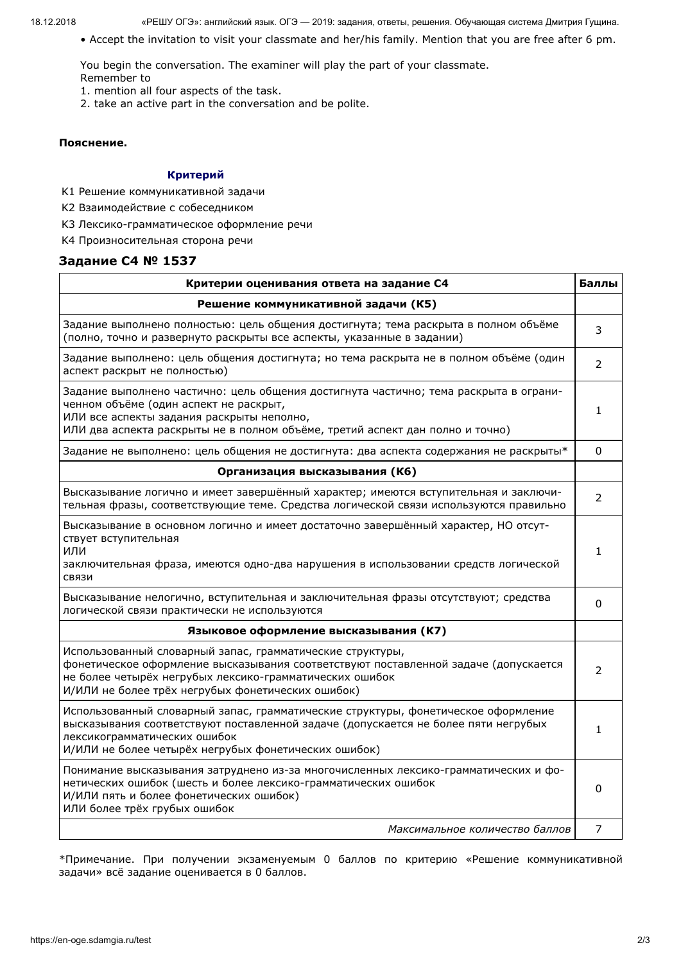• Accept the invitation to visit your classmate and her/his family. Mention that you are free after 6 pm.

You begin the conversation. The examiner will play the part of your classmate.

- Remember to
- 1. mention all four aspects of the task.
- 2. take an active part in the conversation and be polite.

## **Пояснение.**

# **Критерий**

- K1 Решение коммуникативной задачи
- K2 Взаимодействие с собеседником
- K3 Лексико-грамматическое оформление речи
- K4 Произносительная сторона речи

# **Задание С4 № 1537**

| Критерии оценивания ответа на задание С4                                                                                                                                                                                                                         |               |  |  |  |
|------------------------------------------------------------------------------------------------------------------------------------------------------------------------------------------------------------------------------------------------------------------|---------------|--|--|--|
| Решение коммуникативной задачи (К5)                                                                                                                                                                                                                              |               |  |  |  |
| Задание выполнено полностью: цель общения достигнута; тема раскрыта в полном объёме<br>(полно, точно и развернуто раскрыты все аспекты, указанные в задании)                                                                                                     | 3             |  |  |  |
| Задание выполнено: цель общения достигнута; но тема раскрыта не в полном объёме (один<br>аспект раскрыт не полностью)                                                                                                                                            | 2             |  |  |  |
| Задание выполнено частично: цель общения достигнута частично; тема раскрыта в ограни-<br>ченном объёме (один аспект не раскрыт,<br>ИЛИ все аспекты задания раскрыты неполно,<br>ИЛИ два аспекта раскрыты не в полном объёме, третий аспект дан полно и точно)    | 1.            |  |  |  |
| Задание не выполнено: цель общения не достигнута: два аспекта содержания не раскрыты*                                                                                                                                                                            | $\Omega$      |  |  |  |
| Организация высказывания (К6)                                                                                                                                                                                                                                    |               |  |  |  |
| Высказывание логично и имеет завершённый характер; имеются вступительная и заключи-<br>тельная фразы, соответствующие теме. Средства логической связи используются правильно                                                                                     | 2             |  |  |  |
| Высказывание в основном логично и имеет достаточно завершённый характер, НО отсут-<br>ствует вступительная<br>ИЛИ<br>заключительная фраза, имеются одно-два нарушения в использовании средств логической<br>СВЯЗИ                                                | 1             |  |  |  |
| Высказывание нелогично, вступительная и заключительная фразы отсутствуют; средства<br>логической связи практически не используются                                                                                                                               | 0             |  |  |  |
| Языковое оформление высказывания (К7)                                                                                                                                                                                                                            |               |  |  |  |
| Использованный словарный запас, грамматические структуры,<br>фонетическое оформление высказывания соответствуют поставленной задаче (допускается<br>не более четырёх негрубых лексико-грамматических ошибок<br>И/ИЛИ не более трёх негрубых фонетических ошибок) | $\mathcal{P}$ |  |  |  |
| Использованный словарный запас, грамматические структуры, фонетическое оформление<br>высказывания соответствуют поставленной задаче (допускается не более пяти негрубых<br>лексикограмматических ошибок<br>И/ИЛИ не более четырёх негрубых фонетических ошибок)  | 1             |  |  |  |
| Понимание высказывания затруднено из-за многочисленных лексико-грамматических и фо-<br>нетических ошибок (шесть и более лексико-грамматических ошибок<br>И/ИЛИ пять и более фонетических ошибок)<br>ИЛИ более трёх грубых ошибок                                 | 0             |  |  |  |
| Максимальное количество баллов                                                                                                                                                                                                                                   | 7             |  |  |  |

\*Примечание. При получении экзаменуемым 0 баллов по критерию «Решение коммуникативной задачи» всё задание оценивается в 0 баллов.